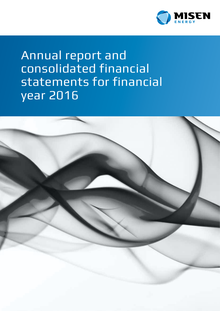

# Annual report and consolidated financial statements for financial year 2016

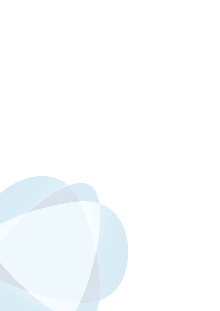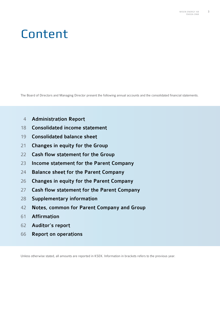# Content

The Board of Directors and Managing Director present the following annual accounts and the consolidated financial statements.

- Administration Report 4
- Consolidated income statement 18
- Consolidated balance sheet 19
- Changes in equity for the Group 21
- Cash flow statement for the Group  $22$
- Income statement for the Parent Company 23
- Balance sheet for the Parent Company 24
- Changes in equity for the Parent Company 26
- Cash flow statement for the Parent Company 27
- Supplementary information 28
- Notes, common for Parent Company and Group 42
- Affirmation 61
- Auditor's report 62
- Report on operations 66

Unless otherwise stated, all amounts are reported in KSEK. Information in brackets refers to the previous year.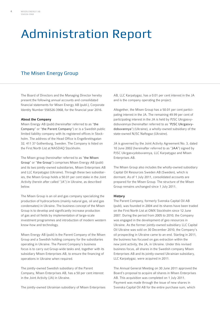# Administration Report

### The Misen Energy Group

The Board of Directors and the Managing Director hereby present the following annual accounts and consolidated financial statements for Misen Energy AB (publ.), Corporate Identity Number 556526-3968, for the financial year 2016.

#### About the Company

Misen Energy AB (publ) (hereinafter referred to as "the Company" or "the Parent Company") or is a Swedish public limited liability company with its registered offices in Stockholm. The address of the Head Office is Engelbrektsgatan 32, 411 37 Gothenburg, Sweden. The Company is listed on the First North List at NASDAQ Stockholm.

The Misen group (hereinafter referred to as "the Misen Group" or "the Group") comprises Misen Energy AB (publ) and its two jointly-owned subsidiaries, Misen Enterprises AB and LLC Karpatygaz (Ukraine). Through these two subsidiaries, the Misen Group holds a 50.01 per cent stake in the Joint Activity (herein after called "JA") in Ukraine, as described below.

The Misen Group is an oil and gas company specializing the production of hydrocarbons (mainly natural gas, oil and gas condensates) in Ukraine. The business concept of the Misen Group is to develop and significantly increase production of gas and oil fields by implementation of large-scale investment programmes and introduction of modern western know-how and technology.

Misen Energy AB (publ) is the Parent Company of the Misen Group and a Swedish holding company for the subsidiaries operating in Ukraine. The Parent Company's business focus is to carry out Group-wide tasks and, together with its subsidiary Misen Enterprises AB, to ensure the financing of operations in Ukraine when required.

The jointly-owned Swedish subsidiary of the Parent Company, Misen Enterprises AB, has a 50 per cent interest in the Joint Activity (JA) in Ukraine.

The jointly-owned Ukrainian subsidiary of Misen Enterprises

AB, LLC Karpatygaz, has a 0.01 per cent interest in the JA and is the company operating the project.

Altogether, the Misen Group has a 50.01 per cent participating interest in the JA. The remaining 49.99 per cent of participating interest in the JA is held by PJSC Ukrgasvydobuvannya (hereinafter referred to as "PJSC Ukrgasvydobuvannya") (Ukraine), a wholly-owned subsidiary of the state-owned NJSC Naftogaz (Ukraine).

JA is governed by the Joint Activity Agreement No. 3, dated 10 June 2002 (hereinafter referred to as "JAA") signed by PJSC Ukrgasvydobuvannya, LLC Karpatygaz and Misen Enterprises AB.

The Misen Group also includes the wholly-owned subsidiary Capital Oil Resources Sweden AB (Sweden), which is dormant. As of 1 July 2011, consolidated accounts are prepared for the Misen Group. The structure of the Misen Group remains unchanged since 1 July 2011.

#### **History**

The Parent Company, formerly Svenska Capital Oil AB (publ), was founded in 2004 and its shares have been traded on the First North List at OMX Stockholm since 12 June 2007. During the period from 2005 to 2010, the Company was engaged in the development of geo resources in Ukraine. As the former jointly-owned subsidiary LLC Capital Oil Ukraine was sold on 30 December 2010, the Company's oil prospecting in Ukraine came to an end. Starting in 2011, the business has focused on gas extraction within the new joint activity, the JA, in Ukraine. Under this revised business focus, all shares in the Swedish company Misen Enterprises AB and its jointly-owned Ukrainian subsidiary, LLC Karpatygaz, were acquired in 2011.

The Annual General Meeting on 30 June 2011 approved the Board's proposal to acquire all shares in Misen Enterprises AB. This acquisition was completed on 1 July 2011. Payment was made through the issue of new shares in Svenska Capital Oil AB for the entire purchase sum, which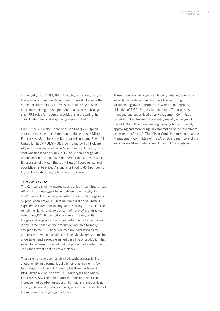amounted to KSEK 999,999. Through this transaction, the five previous owners of Misen Enterprises AB became the dominant shareholders in Svenska Capital Oil AB, with a total shareholding of 98.8 per cent of all shares. Through this, IFRS rules for reverse acquisitions in preparing the consolidated financial statements were applied.

On 16 June 2016, the Board of Misen Energy AB (publ) approved the sale of 37.5 per cent of the shares in Misen Enterprises AB to the Hong Kong-based company Powerful United Limited ("PUL"), PUL is controlled by TCT Holding AB, which is a shareholder in Misen Energy AB (publ). The deal was finalised on 5 July 2016. As Misen Energy AB (publ) continues to hold 62.5 per cent of the shares in Misen Enterprises AB, Misen Energy AB (publ) keeps full control over Misen Enterprises AB and is entitled to 62.5 per cent of future dividends from the business in Ukraine.

#### Joint Activity (JA)

The Company's jointly-owned subsidiaries Misen Enterprises AB and LLC Karpatygaz have, between them, rights to 50.01 per cent of the net profit after taxes of a large gas and oil production project in Ukraine, the duration of which is expected to extend for twenty years starting from 2011. The remaining rights to 49.99 per cent of net profits after taxes belong to PJSC Ukrgasvydobuvannya. The net profit from the gas and oil production project attributable to the parties is calculated based on the production volumes formally assigned to the JA. These volumes are calculated as the difference between a production level should investments be undertaken and a predetermined base line of production that would have been produced had the project not existed (i.e. no further investment had taken place).

These rights have been established, without establishing a legal entity, in a formal legally binding agreement, JAA No.3, dated 10 June 2002, among the three participants PJSC Ukrgasvydobuvannya, LLC Karpatygaz and Misen Enterprises AB. The main purpose of the JAA No.3 is to increase hydrocarbon production by means of modernising infrastructure and production facilities and the introduction of the modern production technologies.

These measures will significantly contribute to the energy security and independence of the Ukraine through sustainable growth in production, which is the primary objective of PJSC Ukrgasvydobuvannya. The project is managed and supervised by a Management Committee consisting of authorized representatives of the parties of the JAA No.3. It is the ultimate governing body of the JA, approving and monitoring implementation of the investment programme of the JA. The Misen Group is represented at the Management Committee of the JA by Board members of the subsidiaries Misen Enterprises AB and LLC Karpatygaz.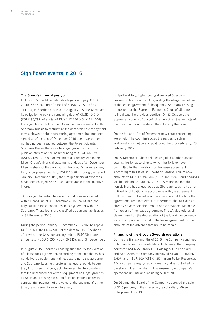### Significant events in 2016

#### The Group's financial position

In July 2015, the JA violated its obligation to pay KUSD 2,240 (KSEK 20,316) of a total of KUSD 12,250 (KSEK 111,104) to Sberbank Russia. In August 2015, the JA violated its obligation to pay the remaining debt of KUSD 10,010 (KSEK 90,787) of a total of KUSD 12,250 (KSEK 111,104). In conjunction with this, the JA reached an agreement with Sberbank Russia to restructure the debt with new repayment terms. However, the restructuring agreement had not been signed as of the end of December 2016 due to agreement not having been reached between the JA participants. Sberbank Russia therefore has legal grounds to impose punitive interest on the JA amounting to KUAH 66,529 (KSEK 21,960). This punitive interest is recognized in the Misen Group's financial statements and, as of 31 December, Misen's share of the provision in the Group's balance sheet for this purpose amounts to KSEK 10,982. During the period January - December 2016, the Group's financial expenses have been charged KSEK 2,382 attributable to this punitive interest.

JA is subject to certain terms and conditions associated with its loans. As of 31 December 2016, the JA had not fully satisfied these conditions in its agreement with PJSC Sberbank. These loans are classified as current liabilities as of 31 December 2016.

During the period January - December 2016, the JA repaid KUSD 5,600 (KSEK 47,909) of the debt to PJSC Sberbank, after which the JA's outstanding debt to PJSC Sberbank amounts to KUSD 6,650 (KSEK 60,313), as of 31 December.

In August 2015, Sberbank Leasing sued the JA for violation of a leaseback agreement. According to the suit, the JA has not delivered equipment in time, according to the agreement, and Sberbank Leasing therefore has legal grounds to sue the JA for breach of contract. However, the JA considers that the unrealised delivery of equipment has legal grounds as Sberbank Leasing did not fulfil its obligations under the contract (full payment of the value of the equipment) at the time the agreement came into effect.

In April and July, higher courts dismissed Sberbank Leasing's claims on the JA regarding the alleged violations of the lease agreement. Subsequently, Sberbank Leasing requested for the Supreme Economic Court of Ukraine to invalidate the previous verdicts. On 13 October, the Supreme Economic Court of Ukraine voided the verdicts of the lower courts and ordered them to retry the case.

On the 6th and 13th of December new court proceedings were held. The court instructed the parties to submit additional information and postponed the proceedings to 28 February 2017.

On 29 December, Sberbank Leasing filed another lawsuit against the JA, according to which the JA is to have committed further violations of the lease agreement. According to this lawsuit, Sberbank Leasing's claim now amounts to KUAH 1,397,704 (KSEK 461,358). Court hearings will be held on 22 June 2017. The JA maintains that the non-delivery has a legal basis as Sberbank Leasing has not fulfilled its obligations in accordance with the agreement (full payment of the value of the equipment) at the time the agreement came into effect. Furthermore, the JA claims to already have repaid the amount of the advance, within the framework of the lease agreement. The JA also refutes all claims based on the depreciation of the Ukrainian currency, as no such provisions exist in the lease agreement for the amounts of the advance that are to be repaid.

#### Financing of the Group's Swedish operations

During the first six months of 2016, the Company continued to borrow from the shareholders. In January, the Company borrowed KSEK 270 from TCT Holding AB. In February and April 2016, the Company borrowed KEUR 700 (KSEK 6,607) and KEUR 500 (KSEK 4,591) from Pollux Resources AG, a company registered in Panama that is controlled by the shareholder Blankbank. This ensured the Company's operations up until and including August 2016.

On 26 June, the Board of the Company approved the sale of 37.5 per cent of the shares in the subsidiary Misen Enterprises AB to PUL.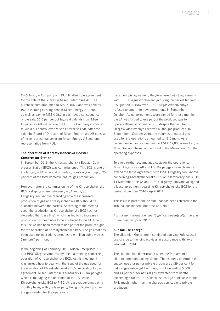On 5 July, the Company and PUL finalised the agreement for the sale of the shares in Misen Enterprises AB. The purchase sum amounted to MSEK 166.2 and was paid by PUL assuming existing debt in Misen Energy AB (publ) as well as paying MSEK 25.7 in cash. As a consequence of the sale, 37.5 per cent of future dividends from Misen Enterprises AB will accrue to PUL. The Company continues to wield full control over Misen Enterprises AB. After the sale, the Board of Directors of Misen Enterprises AB consists of three representatives from Misen Energy AB and one representative from PUL.

#### The operation of Khrestyshchenska Booster Compressor Station

In September 2015, the Khrestyshchenska Booster Compressor Station (BCS) was commissioned. This BCS is one of the largest in Ukraine and provides the extraction of up to 25 per cent of the total domestic natural gas production.

However, after the commissioning of the Khrestyshchenska BCS, a dispute arose between the JA and PJSC Ukrgasvydobuvannya regarding how the increased production of gas at Khrestyshchenska BCS should be allocated between the parties. According to the method used, the production at Khrestyshchenska BCS has not exceeded the "base line" which has led to no increase in production has been able to be attributed to the JA. Due to this, the JA has been forced to use part of the produced gas for the operation of Khrestyshchenska BCS. The gas that has been used for operations amounts to 9 million cubic metres ("mmcm") per month.

In the beginning of February 2016, Misen Enterprises AB and PJSC Ukrgasvydobuvannya held a meeting concerning operation of Khrestyshchenska BCS. At this meeting, it was agreed how to deal with the issue of the gas used for the operation of Khrestyshchenska BCS. According to this agreement, Misen Enterprise's subsidiary LLC Karpatygaz, which is managing the operation of the JA, lease Khrestyshchenska BCS to PJSC Ukrgasvydobuvannya on a monthly basis, with the later party being obligated to cover the gas needed for the operations.

Based on this agreement, the JA entered into 8 agreements with PJSC Ukrgasvydobuvannya during the period January - August 2016. However, PJSC Ukrgasvydobuvannya refused to enter into new agreements in September - October. As no agreements were signed for these months, the JA was forced to use part of the produced gas to operate Khrestyshchenska BCS, despite the fact that PJSC Ukrgasvydobuvannya received all the gas produced. In September - October 2016, the volumes of natural gas used for the operations amounted to 15.0 mcm. As a consequence, costs amounting to KSEK 12,800 arose for the Misen Group. These can be found in the Misen Group's other operating expenses.

To avoid further accumulated costs for the operations, Misen Enterprises AB and LLC Karpatygaz have chosen to extend the lease agreement with PJSC Ukrgasvydobuvannya concerning Khrestyshchenska BCS on a temporary basis. On 14 November, the JA and PJSC Ukrgasvydobuvannya signed a lease agreement regarding Khrestyshchenska BCS for the period November 2016 - April 2017.

This issue is part of the dispute that has been referred to the Tribunal constituted under the JAA No 3.

For further information, see "Significant events after the end of the financial year 2016".

#### Subsoil use charge

The Ukrainian Government continued applying 70% subsoil use charge to the joint activities in accordance with laws adopted in 2014.

The situation has deteriorated when the Parliament of Ukraine amended tax legislation. The changes determine the subsoil use charge for private producers at 29 per cent for natural gas extracted from depths not exceeding 5,000m, and 14 per cent for natural gas extracted from depths exceeding 5,000m. The subsoil use charge applicable to the JA is much higher than the charges applicable to private producers.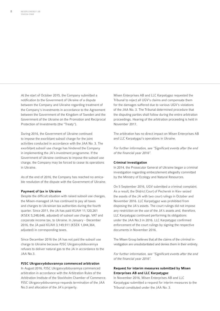At the start of October 2015, the Company submitted a notification to the Government of Ukraine of a dispute between the Company and Ukraine regarding treatment of the Company's investments in accordance to the Agreement between the Government of the Kingdom of Sweden and the Government of the Ukraine on the Promotion and Reciprocal Protection of Investments (the "Treaty").

During 2016, the Government of Ukraine continued to impose the exorbitant subsoil charge for the joint activities conducted in accordance with the JAA No. 3. The exorbitant subsoil use charge has hindered the Company in implementing the JA's investment programme. If the Government of Ukraine continues to impose the subsoil use charge, the Company may be forced to cease its operations in Ukraine.

As of the end of 2016, the Company has reached no amicable resolution of the dispute with the Government of Ukraine.

#### Payment of tax in Ukraine

Despite the difficult situation with raised subsoil use charges, the Misen-managed JA has continued to pay all taxes and charges to Ukrainian tax authorities during the fourth quarter. Since 2011, the JA has paid KUAH 11,120,261 (KSEK 5,248,646, adjusted) of subsoil use charge, VAT and corporate income tax, to Ukraine. In January - December 2016, the JA paid KUAH 3,149,911 (KSEK 1,044,364, adjusted) in corresponding taxes.

Since December 2016 the JA has not paid the subsoil use charge to Ukraine because PJSC Ukrgasvydobuvannya refuses to deliver natural gas to the JA in accordance to the JAA No.3.

#### PJSC Ukrgasvydobuvannya commenced arbitration

In August 2016, PJSC Ukrgasvydobuvannya commenced arbitration in accordance with the Arbitration Rules of the Arbitration Institute of the Stockholm Chamber of Commerce. PJSC Ukrgasvydobuvannya requests termination of the JAA No.3 and allocation of the JA's property.

Misen Enterprises AB and LLC Karpatygaz requested the Tribunal to reject all UGV's claims and compensate them for the damages suffered due to various UGV's violations of the JAA No. 3. The Tribunal determined procedure that the disputing parties shall follow during the entire arbitration proceedings. Hearing of the arbitration proceeding is held in November 2017.

The arbitration has no direct impact on Misen Enterprises AB and LLC Karpatygaz's operations in Ukraine.

For further information, see "Significant events after the end of the financial year 2016".

#### Criminal investigation

In 2014, the Prosecutor General of Ukraine began a criminal investigation regarding embezzlement allegedly committed by the Ministry of Ecology and Natural Resources.

On 5 September 2016, UGV submitted a criminal complaint. As a result, the District Court of Pechersk in Kiev seized the assets of the JA with two court rulings in October and November 2016. LLC Karpatygaz was prohibited from disposing the JA's assets. The court rulings did not impose any restriction on the use of the JA's assets and, therefore, LLC Karpatygaz continued performing its obligations under the JAA No.3 in 2016. LLC Karpatygaz confirmed enforcement of the court rulings by signing the respective documents in November 2016.

The Misen Group believes that all the claims of the criminal investigation are unsubstantiated and denies them in their entirety.

For further information, see "Significant events after the end of the financial year 2016".

#### Request for interim measures submitted by Misen Enterprises AB and LLC Karpatygaz

In November 2016, Misen Enterprises AB and LLC Karpatygaz submitted a request for interim measures to the Tribunal constituted under the JAA No. 3.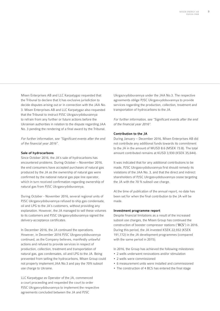Misen Enterprises AB and LLC Karpatygaz requested that the Tribunal to declare that it has exclusive jurisdiction to decide disputes arising out or in connection with the JAA No. 3. Misen Enterprises AB and LLC Karpatygaz also requested that the Tribunal to instruct PJSC Ukrgazvydobuvannya to refrain from any further or future actions before the Ukrainian authorities in relation to the dispute regarding JAA No. 3 pending the rendering of a final award by the Tribunal.

For further information, see "Significant events after the end of the financial year 2016".

#### Sale of hydrocarbons

Since October 2016, the JA's sale of hydrocarbons has encountered problems. During October – November 2016, the end consumers have accepted purchases of natural gas produced by the JA as the ownership of natural gas were confirmed by the national natural gas pipe line operator, which in turn received confirmation regarding ownership of natural gas from PJSC Ukrgasvydobuvannya.

During October - November 2016, several regional units of PJSC Ukrgasvydobuvannya refused to ship gas condensate, oil and LPG to the JA's customers, without providing any explanation. However, the JA managed to sell these volumes to its customers and PJSC Ukrgasvydobuvannya signed the delivery-acceptance certificates.

In December 2016, the JA continued the operations. However, in December 2016 PJSC Ukrgasvydobuvannya continued, as the Company believes, manifestly unlawful actions and refused to provide services in respect of production, collection, treatment and transportation of natural gas, gas condensates, oil and LPG to the JA. Being prevented from selling the hydrocarbons, Misen Group could not properly implement JAA No.3 and pay the 70% subsoil use charge to Ukraine.

LLC Karpatygaz as Operator of the JA, commenced a court proceeding and requested the court to order PJSC Ukrgasvydobuvannya to implement the respective agreements concluded between the JA and PJSC

Ukrgazvydobuvannya under the JAA No.3. The respective agreements oblige PJSC Ukrgasvydobuvannya to provide services regarding the production, collection, treatment and transportation of hydrocarbons to the JA.

For further information, see "Significant events after the end of the financial year 2016".

#### Contribution to the JA

During January – December 2016, Misen Enterprises AB did not contribute any additional funds towards its commitment to the JA in the amount of MUSD 8.6 (MSEK 73.8). The total amount contributed remains at KUSD 3,930 (KSEK 35,644).

It was indicated that for any additional contributions to be made, PJSC Ukrgasvydobuvannya first should remedy its violations of the JAA No. 3, and that the direct and indirect shareholders of PJSC Ukrgasvydobuvannya cease targeting the JA with the 70 % subsoil use charge.

At the time of publication of the annual report, no date has been set for when the final contribution to the JA will be made.

#### Investment programme report

Despite financial limitations as a result of the increased subsoil use charges, the Misen Group has continued the construction of booster compressor stations ("BCS") in 2016. During this period, the JA invested KSEK 22,932 (KSEK 191,772) in the JA development programmes (compared with the same period in 2015).

In 2016, the Group has achieved the following milestones:

- 2 wells underwent renovations and/or stimulation
- 2 wells were commissioned
- 6 measurement units were installed and commissioned
- The construction of 4 BCS has entered the final stage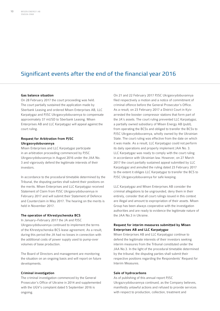### Significant events after the end of the financial year 2016

#### Gas balance situation

On 28 February 2017 the court proceeding was held. The court partially sustained the application made by Sberbank Leasing and ordered Misen Enterprises AB, LLC Karpatygaz and PJSC Ukrgasvydobuvannya to compensate approximately 37 mUSD to Sberbank Leasing. Misen Enterprises AB and LLC Karpatygaz will appeal against the court ruling.

#### Request for Arbitration from PJSC Ukrgasvydobuvannya

Misen Enterprises and LLC Karpatygaz participate in an arbitration proceeding commenced by PJSC Ukrgasvydobuvannya in August 2016 under the JAA No. 3 and vigorously defend the legitimate interests of their investors.

In accordance to the procedural timetable determined by the Tribunal, the disputing parties shall submit their positions on the merits. Misen Enterprises and LLC Karpatygaz received Statement of Claim from PJSC Ukrgasvydobuvannya in February 2017 and will submit their Statement of Defence and Counterclaim in May 2017. The hearing on the merits is held in November 2017.

#### The operation of Khrestyschenska BCS

In January–February 2017 the JA and PJSC

Ukrgasvydobuvannya continued to implement the terms of the Khrestyschenska BCS lease agreement. As a result, during this period the JA had no losses in connection with the additional costs of power supply used to pump-over volumes of base production.

The Board of Directors and management are monitoring the situation on an ongoing basis and will report on future developments.

#### Criminal investigation

The criminal investigation commenced by the General Prosecutor's Office of Ukraine in 2014 and supplemented with the UGV's complaint dated 5 September 2016 is ongoing.

On 21 and 22 February 2017 PJSC Ukrgasvydobuvannya filed respectively a motion and a notice of commitment of criminal offence before the General Prosecutor's Office. As a result, on 23 February 2017 a District Court in Kyiv arrested the booster compressor stations that form part of the JA's assets. The court ruling prevented LLC Karpatygaz, a partially owned subsidiary of Misen Energy AB (publ), from operating the BCSs and obliged to transfer the BCSs to PJSC Ukrgasvydobuvannya, wholly owned by the Ukrainian State. The court ruling was effective from the date on which it was made. As a result, LLC Karpatygaz could not perform its daily operations and properly implement JAA No. 3. LLC Karpatygaz was ready to comply with the court ruling in accordance with Ukrainian law. However, on 27 March 2017 the court partially sustained appeal submitted by LLC Karpatygaz and annulled the ruling dated 23 February 2017 to the extent it obliges LLC Karpatygaz to transfer the BCS to PJSC Ukrgasvydobuvannya for safe keeping.

LLC Karpatygaz and Misen Enterprises AB consider the criminal allegations to be ungrounded, deny them in their entirely, consider that all court rulings issued in this context are illegal and amount to expropriation of their assets. Misen Group has been always cooperative with the investigation authorities and are ready to evidence the legitimate nature of the JAA No.3 in Ukraine.

#### Request for interim measures submitted by Misen Enterprises AB and LLC Karpatygaz

Misen Enterprises AB and LLC Karpatygaz continue to defend the legitimate interests of their investors seeking interim measures from the Tribunal constituted under the JAA No.3. In the light of the procedural timetable determined by the tribunal, the disputing parties shall submit their respective positions regarding the Respondents' Request for Interim Measures.

#### Sale of hydrocarbons

As of publishing of this annual report PJSC Ukrgazvydobuvannya continued, as the Company believes, manifestly unlawful actions and refused to provide services with respect to production, collection, treatment and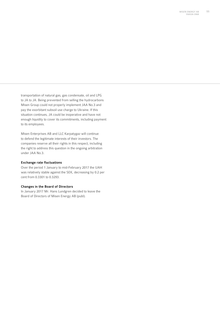transportation of natural gas, gas condensate, oil and LPG to JA to JA. Being prevented from selling the hydrocarbons Misen Group could not properly implement JAA No.3 and pay the exorbitant subsoil use charge to Ukraine. If this situation continues, JA could be inoperative and have not enough liquidity to cover its commitments, including payment to its employees.

Misen Enterprises AB and LLC Karpatygaz will continue to defend the legitimate interests of their investors. The companies reserve all their rights in this respect, including the right to address this question in the ongoing arbitration under JAA No.3.

#### Exchange rate fluctuations

Over the period 1 January to mid-February 2017 the UAH was relatively stable against the SEK, decreasing by 0.2 per cent from 0.3301 to 0.3293.

#### Changes in the Board of Directors

In January 2017 Mr. Hans Lundgren decided to leave the Board of Directors of Misen Energy AB (publ).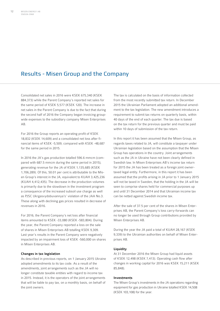### Results - Misen Group and the Company

Consolidated net sales in 2016 were KSEK 675,340 (KSEK 884,373) while the Parent Company's reported net sales for the same period of KSEK 5,577 (KSEK 120). The increase in net sales in the Parent Company is due to the fact that during the second half of 2016 the Company began invoicing groupwide expenses to the subsidiary company Misen Enterprises AB.

For 2016 the Group reports an operating profit of KSEK 18,832 (KSEK 14,609) and a consolidated net loss after financial items of KSEK -5,509, compared with KSEK -48,687 for the same period in 2015.

In 2016 the JA's gas production totalled 596.6 mmcm (compared with 687.5 mmcm during the same period in 2015), generating revenue for the JA of KSEK 1,135,685 (KSEK 1,706,289). Of this, 50.01 per cent is attributable to the Misen Group's interest in the JA, equivalent to KUAH 3,425,236 (KUAH 4,412,435). The decrease in the production volumes is primarily due to the slowdown in the investment program a consequence of the increased subsoil use charge as well as PJSC Ukrgasvydobuvannya's' violation of the JAA No.3. These along with declining gas prices resulted in decrease of revenues in 2016.

For 2016, the Parent Company's net loss after financial items amounted to KSEK -33,080 (KSEK -583,804). During the year, the Parent Company reported a loss on the sale of shares in Misen Enterprises AB totalling KSEK 9,309. Last year's results in the Parent Company were negatively impacted by an impairment loss of KSEK -560,000 on shares in Misen Enterprises AB.

#### Changes in tax legislation

As described in previous reports, on 1 January 2015 Ukraine adopted amendments to its tax code. As a result of the amendments, joint arrangements such as the JA will no longer constitute taxable entities with regard to income tax in 2015. Instead, it is the operators of the joint arrangements that will be liable to pay tax, on a monthly basis, on behalf of the joint owners.

The tax is calculated on the basis of information collected from the most recently submitted tax return. In December 2015 the Ukrainian Parliament adopted an additional amendment to the tax legislation. The new amendment introduces a requirement to submit tax returns on quarterly basis, within 40 days of the end of each quarter. The tax due is based on the tax return for the previous quarter and must be paid within 10 days of submission of the tax return.

In this report it has been assumed that the Misen Group, as regards taxes related to JA, will constitute a taxpayer under Ukrainian legislation based on the assumption that the Misen Group has operations in the country. Joint arrangements such as the JA in Ukraine have not been clearly defined in Swedish law. In Misen Enterprises AB's income tax return for 2015 the JA has been treated as a foreign joint ownertaxed legal entity. Furthermore, in this report it has been assumed that the profits arising in JA prior to 1 January 2015 will not be taxed in Sweden, that the holding in the JA will be seen to comprise shares held for commercial purposes up and until 31 December 2014 and that Ukrainian income tax can be netted against Swedish income tax.

After the sale of 37.5 per cent of the shares in Misen Enterprises AB, the Parent Company's loss carry-forwards can no longer be used through Group contributions provided by Misen Enterprises AB.

During the year the JA paid a total of KUAH 28,167 (KSEK 9,339) to the Ukrainian authorities on behalf of Misen Enterprises AB.

#### **Liquidity**

At 31 December 2016 the Misen Group had liquid assets of KSEK 12,498 (KSEK 7,413). Operating cash flow after changes in working capital for 2016 was KSEK 15,211 (KSEK 85,848).

#### Investments

The Misen Group's investments in the JA operations regarding equipment for gas production in Ukraine totalled KSEK 14,508 (KSEK 103,108) for the year.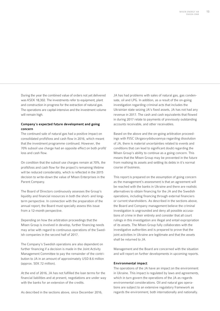During the year the combined value of orders not yet delivered was KSEK 18,302. The investments refer to equipment, plant and construction in progress for the extraction of natural gas. The operations are capital-intensive and the investment volume will remain high.

#### Company's expected future development and going concern

The continued sale of natural gas had a positive impact on consolidated profit/loss and cash flow in 2016, which meant that the investment programme continued. However, the 70% subsoil use charge had an opposite effect on both profit/ loss and cash flow.

On condition that the subsoil use charges remain at 70%, the profit/loss and cash flow for the project's remaining lifetime will be reduced considerably, which is reflected in the 2015 decision to write-down the value of Misen Enterprises in the Parent Company.

The Board of Directors continuously assesses the Group's liquidity and financial resources in both the short- and longterm perspective. In connection with the preparation of the annual report, the Board must specially assess this issue from a 12-month perspective.

Depending on how the arbitration proceedings that the Misen Group is involved in develop, further financing needs may arise with regard to continuous operations of the Swedish companies in the second half of 2017.

The Company's Swedish operations are also dependent on further financing if a decision is made in the Joint Activity Management Committee to pay the remainder of the contribution to JA in an amount of approximately USD 8.6 million (approx. SEK 72 million).

At the end of 2016, JA has not fulfilled the loan terms for the financial liabilities and at present, negotiations are under way with the banks for an extension of the credits.

As described in the sections above, since December 2016,

JA has had problems with sales of natural gas, gas condensate, oil and LPG. In addition, as a result of the on-going investigation regarding criminal acts that includes the Ukrainian state seizing JA's fixed assets, JA has not had any revenue in 2017. The cash and cash equivalents that flowed in during 2017 relate to payments of previously outstanding accounts receivable, and other receivables.

Based on the above and the on-going arbitration proceedings with PJSC Ukrgasvydobuvannya regarding dissolution of JA, there is material uncertainties related to events and conditions that can lead to significant doubt regarding the Misen Group's ability to continue as a going concern. This means that the Misen Group may be prevented in the future from realising its assets and settling its debts in it's normal course of business.

This report is prepared on the assumption of going concern as the management's assessment is that an agreement will be reached with the banks in Ukraine and there are realistic alternatives to obtain financing for the JA and the Swedish operations, including financing through external financiers or current shareholders. As described in the sections above, the Board and Company management believe the criminal investigation is ungrounded and deny all possible accusations of crime in their entirety and consider that all court rulings in this investigation are illegal and entail expropriation of its assets. The Misen Group fully collaborates with the investigative authorities and is prepared to prove that the joint activities in Ukraine are legitimate and that the assets shall be returned to JA.

Management and the Board are concerned with the situation and will report on further developments in upcoming reports.

#### Environmental impact

The operations of the JA have an impact on the environment in Ukraine. This impact is regulated by laws and agreements, which in turn govern the operations of the JA as regards environmental considerations. Oil and natural gas operations are subject to an extensive regulatory framework as regards the environment, both internationally and nationally.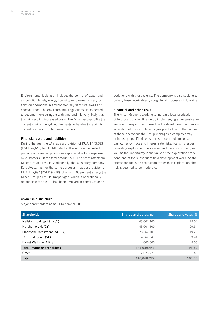Environmental legislation includes the control of water and air pollution levels, waste, licensing requirements, restrictions on operations in environmentally sensitive areas and coastal areas. The environmental regulations are expected to become more stringent with time and it is very likely that this will result in increased costs. The Misen Group fulfils the current environmental requirements to be able to retain its current licenses or obtain new licenses.

#### Financial assets and liabilities

During the year the JA made a provision of KUAH 143,593 (KSEK 47,610) for doubtful debts. This amount consisted partially of reversed provisions reported due to non-payment by customers. Of the total amount, 50.01 per cent affects the Misen Group's results. Additionally, the subsidiary company Karpatygaz has, for the same purposes, made a provision of KUAH 27,984 (KSEK 9,278), of which 100 percent affects the Misen Group's results. Karpatygaz, which is operationally responsible for the JA, has been involved in constructive negotiations with these clients. The company is also seeking to collect these receivables through legal processes in Ukraine.

#### Financial and other risks

The Misen Group is working to increase local production of hydrocarbons in Ukraine by implementing an extensive investment programme focused on the development and modernisation of infrastructure for gas production. In the course of these operations the Group manages a complex array of industry-specific risks, such as price trends for oil and gas, currency risks and interest rate risks, licensing issues regarding exploration, processing and the environment, as well as the uncertainty in the value of the exploration work done and of the subsequent field development work. As the operations focus on production rather than exploration, the risk is deemed to be moderate.

#### Ownership structure

Major shareholders as at 31 December 2016:

| Shareholder                    | Shares and votes, no. | Shares and votes, % |
|--------------------------------|-----------------------|---------------------|
| Nellston Holdings Ltd. (CY)    | 43,001,100            | 29.64               |
| Norchamo Ltd. (CY)             | 43,001,100            | 29.64               |
| Blankbank Investment Ltd. (CY) | 28,667,400            | 19.76               |
| TCT Holding AB (SE)            | 14,369,843            | 9.91                |
| Forest Walkway AB (SE)         | 14,000,000            | 9.65                |
| Total, major shareholders      | 143,039,443           | 98.60               |
| Other                          | 2,028,779             | 1.40                |
| <b>Total</b>                   | 145,068,222           | 100.00              |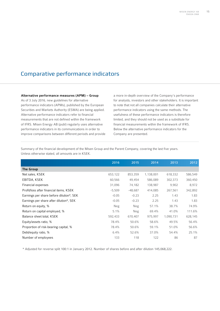### Comparative performance indicators

#### Alternative performance measures (APM) – Group

As of 3 July 2016, new guidelines for alternative performance indicators (APMs), published by the European Securities and Markets Authority (ESMA) are being applied. Alternative performance indicators refer to financial measurements that are not defined within the framework of IFRS. Misen Energy AB (publ) regularly uses alternative performance indicators in its communications in order to improve comparisons between different periods and provide

a more in-depth overview of the Company's performance for analysts, investors and other stakeholders. It is important to note that not all companies calculate their alternative performance indicators using the same methods. The usefulness of these performance indicators is therefore limited, and they should not be used as a substitute for financial measurements within the framework of IFRS. Below the alternative performance indicators for the Company are presented.

Summary of the financial development of the Misen Group and the Parent Company, covering the last five years. Unless otherwise stated, all amounts are in KSEK.

|                                          | 2016     | 2015      | 2014      | 2013      | 2012    |
|------------------------------------------|----------|-----------|-----------|-----------|---------|
| <b>The Group</b>                         |          |           |           |           |         |
| Net sales, KSEK                          | 653,122  | 853,359   | 1,138,001 | 618,332   | 586,549 |
| EBITDA, KSEK                             | 60,566   | 49,454    | 586,089   | 302,373   | 360,450 |
| Financial expenses                       | 31,096   | 74,182    | 138,987   | 9,902     | 8,972   |
| Profit/loss after financial items, KSEK  | $-5,509$ | $-48,687$ | 414,085   | 267,561   | 342,892 |
| Earnings per share before dilution*, SEK | $-0.05$  | $-0.23$   | 2.25      | 1.43      | 1.83    |
| Earnings per share after dilution*, SEK  | $-0.05$  | $-0.23$   | 2.25      | 1.43      | 1.83    |
| Return on equity, %                      | Neg      | Neg       | 57.1%     | 38.7%     | 74.9%   |
| Return on capital employed, %            | 5.1%     | Neg       | 69.4%     | 41.0%     | 111.6%  |
| Balance sheet total, KSEK                | 592,433  | 670,407   | 975,997   | 1,090,731 | 628,145 |
| Equity/assets ratio, %                   | 78.4%    | 50.6%     | 58.6%     | 49.5%     | 56.4%   |
| Proportion of risk-bearing capital, %    | 78.4%    | 50.6%     | 59.1%     | 51.0%     | 56.6%   |
| Debt/equity ratio, %                     | 6.4%     | 52.6%     | 37.0%     | 54.4%     | 25.1%   |
| Number of employees                      | 133      | 118       | 122       | 86        | 87      |

\* Adjusted for reverse split 100:1 in January 2012. Number of shares before and after dilution 145,068,222.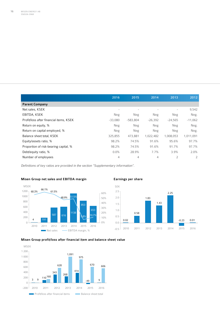|                                         | 2016           | 2015           | 2014           | 2013      | 2012           |
|-----------------------------------------|----------------|----------------|----------------|-----------|----------------|
| <b>Parent Company</b>                   |                |                |                |           |                |
| Net sales, KSEK                         |                |                |                |           | 9,542          |
| EBITDA, KSEK                            | Neg            | Neg            | Neg            | Neg       | Neg.           |
| Profit/loss after financial items, KSEK | $-33.080$      | $-583,804$     | $-26,392$      | $-24,565$ | $-11,062$      |
| Return on equity, %                     | Neg            | Neg            | Neg            | Neg       | Neg.           |
| Return on capital employed, %           | Neg            | Neg            | Neg            | Neg       | Neg.           |
| Balance sheet total, KSEK               | 325,855        | 473,881        | 1,022,482      | 1,008,053 | 1,011,091      |
| Equity/assets ratio, %                  | 98.2%          | 74.5%          | 91.6%          | 95.6%     | 97.7%          |
| Proportion of risk-bearing capital, %   | 98.2%          | 74.5%          | 91.6%          | 91.7%     | 97.7%          |
| Debt/equity ratio, %                    | $0.0\%$        | 28.9%          | 7.7%           | 3.9%      | 2.0%           |
| Number of employees                     | $\overline{4}$ | $\overline{4}$ | $\overline{4}$ | 2         | $\overline{2}$ |

Definitions of key ratios are provided in the section "Supplementary information".



#### Misen Group net sales and EBITDA margin Earnings per share



Misen Group profit/loss after financial item and balance sheet value

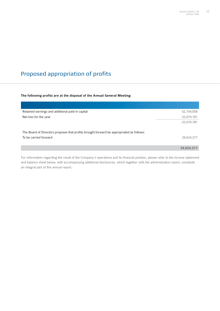## Proposed appropriation of profits

#### The following profits are at the disposal of the Annual General Meeting:

| Retained earnings and additional paid-in capital                                         | 62,704,058    |
|------------------------------------------------------------------------------------------|---------------|
| Net loss for the year                                                                    | $-33,079,781$ |
|                                                                                          | $-33,079,781$ |
|                                                                                          |               |
| The Board of Directors proposes that profits brought forward be appropriated as follows: |               |
| To be carried forward                                                                    | 29,624,277    |
|                                                                                          |               |
|                                                                                          | 29,624,277    |
|                                                                                          |               |

For information regarding the result of the Company's operations and its financial position, please refer to the income statement and balance sheet below, with accompanying additional disclosures, which together with the administration report, constitute an integral part of this annual report.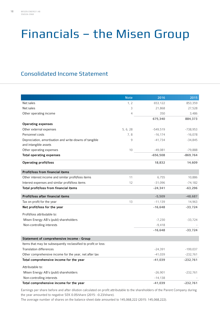# Financials – the Misen Group

## Consolidated Income Statement

|                                                                | <b>Note</b> | 2016       | 2015       |
|----------------------------------------------------------------|-------------|------------|------------|
| Net sales                                                      | 1, 2        | 653,122    | 853,359    |
| Net sales                                                      | 3           | 21,868     | 27,528     |
| Other operating income                                         | 4           | 350        | 3,486      |
|                                                                |             | 675,340    | 884,373    |
| <b>Operating expenses</b>                                      |             |            |            |
| Other external expenses                                        | 5, 6, 28    | $-549,519$ | $-738,953$ |
| Personnel costs                                                | 7,8         | $-16, 174$ | $-16,078$  |
| Depreciation, amortisation and write-downs of tangible         | 9           | $-41,734$  | $-34,845$  |
| and intangible assets                                          |             |            |            |
| Other operating expenses                                       | 10          | $-49,081$  | $-79,888$  |
| <b>Total operating expenses</b>                                |             | $-656,508$ | $-869,764$ |
| <b>Operating profit/loss</b>                                   |             | 18,832     | 14,609     |
| Profit/loss from financial items                               |             |            |            |
| Other interest income and similar profit/loss items            | 11          | 6,755      | 10,886     |
| Interest expenses and similar profit/loss items                | 12          | $-31,096$  | $-74,182$  |
| Total profit/loss from financial items                         |             | $-24,341$  | $-63,296$  |
| Profit/loss after financial items                              |             | $-5,509$   | $-48,687$  |
| Tax on profit for the year                                     | 13          | $-11,139$  | 14,963     |
| Net profit/loss for the year                                   |             | $-16,648$  | $-33,724$  |
| Profit/loss attributable to:                                   |             |            |            |
| Misen Energy AB's (publ) shareholders                          |             | $-7,230$   | $-33,724$  |
| Non-controlling interests                                      |             | $-9,418$   |            |
|                                                                |             | $-16,648$  | $-33,724$  |
| Statement of comprehensive income - Group                      |             |            |            |
| Items that may be subsequently reclassified to profit or loss: |             |            |            |
| <b>Translation differences</b>                                 |             | $-24,391$  | $-199,037$ |
| Other comprehensive income for the year, net after tax         |             | $-41,039$  | $-232,761$ |
| Total comprehensive income for the year                        |             | $-41,039$  | $-232,761$ |
| Attributable to:                                               |             |            |            |
| Misen Energy AB's (publ) shareholders                          |             | $-26,901$  | $-232,761$ |
| Non-controlling interests                                      |             | $-14,138$  |            |
| Total comprehensive income for the year                        |             | $-41,039$  | $-232.761$ |

Earnings per share before and after dilution calculated on profit attributable to the shareholders of the Parent Company during the year amounted to negative SEK 0.05/share (2015: -0.23/share).

The average number of shares on the balance sheet date amounted to 145,068,222 (2015: 145,068,222).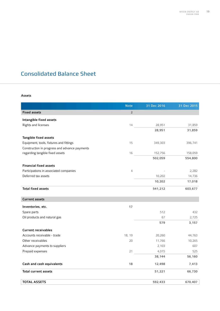## Consolidated Balance Sheet

#### Assets

|                                               | <b>Note</b>    | 31 Dec 2016 | 31 Dec 2015 |
|-----------------------------------------------|----------------|-------------|-------------|
| <b>Fixed assets</b>                           | $\overline{2}$ |             |             |
| Intangible fixed assets                       |                |             |             |
| Rights and licenses                           | 14             | 28,951      | 31,859      |
|                                               |                | 28,951      | 31,859      |
| <b>Tangible fixed assets</b>                  |                |             |             |
| Equipment, tools, fixtures and fittings       | 15             | 349,303     | 396,741     |
| Construction in progress and advance payments |                |             |             |
| regarding tangible fixed assets               | 16             | 152,756     | 158,059     |
|                                               |                | 502,059     | 554,800     |
|                                               |                |             |             |
| <b>Financial fixed assets</b>                 |                |             |             |
| Participations in associated companies        | $\overline{4}$ |             | 2,282       |
| Deferred tax assets                           |                | 10,202      | 14,736      |
|                                               |                | 10,202      | 17,018      |
| <b>Total fixed assets</b>                     |                | 541,212     | 603,677     |
| <b>Current assets</b>                         |                |             |             |
| Inventories, etc.                             | 17             |             |             |
| Spare parts                                   |                | 512         | 432         |
| Oil products and natural gas                  |                | 67          | 2,725       |
|                                               |                | 579         | 3,157       |
| <b>Current receivables</b>                    |                |             |             |
| Accounts receivable - trade                   | 18, 19         | 20,260      | 44,763      |
| Other receivables                             | 20             | 11,766      | 10,265      |
| Advance payments to suppliers                 |                | 2,103       | 607         |
| Prepaid expenses                              | 21             | 4,015       | 525         |
|                                               |                | 38,144      | 56,160      |
| Cash and cash equivalents                     | 18             | 12,498      | 7,413       |
| <b>Total current assets</b>                   |                | 51,221      | 66,730      |
| <b>TOTAL ASSETS</b>                           |                | 592,433     | 670,407     |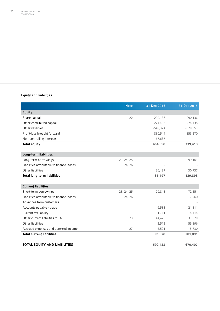#### Equity and liabilities

|                                            | <b>Note</b> | 31 Dec 2016 | 31 Dec 2015 |
|--------------------------------------------|-------------|-------------|-------------|
| <b>Equity</b>                              |             |             |             |
| Share capital                              | 22          | 290,136     | 290,136     |
| Other contributed capital                  |             | $-274,435$  | $-274,435$  |
| Other reserves                             |             | $-549,324$  | $-529,653$  |
| Profit/loss brought forward                |             | 830,544     | 853,370     |
| Non-controlling interests                  |             | 167,637     |             |
| <b>Total equity</b>                        |             | 464,558     | 339,418     |
|                                            |             |             |             |
| Long-term liabilities                      |             |             |             |
| Long-term borrowings                       | 23, 24, 25  |             | 99,161      |
| Liabilities attributable to finance leases | 24, 26      |             |             |
| Other liabilities                          |             | 36,197      | 30,737      |
| <b>Total long-term liabilities</b>         |             | 36,197      | 129,898     |
|                                            |             |             |             |
| <b>Current liabilities</b>                 |             |             |             |
| Short-term borrowings                      | 23, 24, 25  | 29,848      | 72,151      |
| Liabilities attributable to finance leases | 24, 26      |             | 7,260       |
| Advances from customers                    |             | 8           |             |
| Accounts payable - trade                   |             | 6,581       | 21,811      |
| Current tax liability                      |             | 1,711       | 4,414       |
| Other current liabilities to JA            | 23          | 44,426      | 33,829      |
| Other liabilities                          |             | 3,513       | 55,896      |
| Accrued expenses and deferred income       | 27          | 5,591       | 5,730       |
| <b>Total current liabilities</b>           |             | 91,678      | 201,091     |
| <b>TOTAL EQUITY AND LIABILITIES</b>        |             | 592,433     | 670,407     |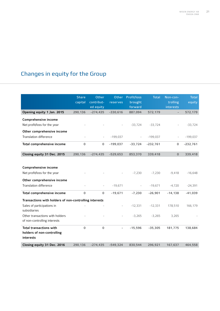# Changes in equity for the Group

|                                                                           | <b>Share</b><br>capital | Other<br>contribut-<br>ed equity | Other<br>reserves        | Profit/loss<br>brought<br>forward | <b>Total</b> | Non-con-<br>trolling<br>interests | <b>Total</b><br>equity |
|---------------------------------------------------------------------------|-------------------------|----------------------------------|--------------------------|-----------------------------------|--------------|-----------------------------------|------------------------|
| Opening equity 1 Jan. 2015                                                | 290,136                 | $-274,435$                       | $-330,616$               | 887,094                           | 572,179      |                                   | 572,179                |
| Comprehensive income                                                      |                         |                                  |                          |                                   |              |                                   |                        |
| Net profit/loss for the year                                              |                         |                                  |                          | $-33.724$                         | $-33,724$    | $\overline{\phantom{0}}$          | $-33,724$              |
| Other comprehensive income                                                |                         |                                  |                          |                                   |              |                                   |                        |
| <b>Translation difference</b>                                             |                         | L,                               | $-199,037$               |                                   | $-199,037$   |                                   | $-199,037$             |
| Total comprehensive income                                                | $\mathbf 0$             | $\mathbf 0$                      | $-199,037$               | $-33,724$                         | $-232,761$   | $\mathbf 0$                       | $-232,761$             |
| Closing equity 31 Dec. 2015                                               | 290,136                 | $-274,435$                       | $-529,653$               | 853,370                           | 339,418      | $\mathbf{0}$                      | 339,418                |
|                                                                           |                         |                                  |                          |                                   |              |                                   |                        |
| Comprehensive income                                                      |                         |                                  |                          |                                   |              |                                   |                        |
| Net profit/loss for the year                                              |                         |                                  |                          | $-7,230$                          | $-7,230$     | $-9,418$                          | $-16,648$              |
| Other comprehensive income                                                |                         |                                  |                          |                                   |              |                                   |                        |
| <b>Translation difference</b>                                             |                         |                                  | $-19,671$                |                                   | $-19,671$    | $-4,720$                          | $-24,391$              |
| Total comprehensive income                                                | 0                       | 0                                | $-19,671$                | $-7,230$                          | $-26,901$    | $-14,138$                         | $-41,039$              |
| Transactions with holders of non-controlling interests                    |                         |                                  |                          |                                   |              |                                   |                        |
| Sales of participations in<br>subsidiaries                                |                         |                                  | $\overline{\phantom{a}}$ | $-12,331$                         | $-12,331$    | 178,510                           | 166,179                |
| Other transactions with holders                                           |                         |                                  |                          | $-3,265$                          | $-3,265$     | 3,265                             |                        |
| of non-controlling interests                                              |                         |                                  |                          |                                   |              |                                   |                        |
| <b>Total transactions with</b><br>holders of non-controlling<br>interests | $\mathbf 0$             | 0                                | $\overline{\phantom{a}}$ | $-15,596$                         | $-35,305$    | 181,775                           | 138,684                |
| Closing equity 31 Dec. 2016                                               | 290,136                 | $-274,435$                       | $-549,324$               | 830,544                           | 296,921      | 167,637                           | 464,558                |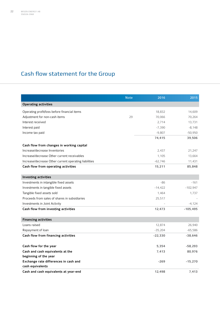# Cash flow statement for the Group

|                                                       | <b>Note</b> | 2016      | 2015       |
|-------------------------------------------------------|-------------|-----------|------------|
| <b>Operating activities</b>                           |             |           |            |
| Operating profit/loss before financial items          |             | 18,832    | 14,609     |
| Adjustment for non-cash items                         | 29          | 70,066    | 70,264     |
| Interest received                                     |             | 2,714     | 13,731     |
| Interest paid                                         |             | $-7,390$  | $-8,148$   |
| Income tax paid                                       |             | $-9,807$  | $-50,950$  |
|                                                       |             | 74,415    | 39,506     |
| Cash flow from changes in working capital             |             |           |            |
| Increase/decrease Inventories                         |             | 2,437     | 21,247     |
| Increase/decrease Other current receivables           |             | 1,105     | 13,664     |
| Increase/decrease Other current operating liabilities |             | $-62,746$ | 11,431     |
| Cash flow from operating activities                   |             | 15,211    | 85,848     |
| <b>Investing activities</b>                           |             |           |            |
| Investments in intangible fixed assets                |             | $-86$     | $-161$     |
| Investments in tangible fixed assets                  |             | $-14,422$ | $-102,947$ |
| Tangible fixed assets sold                            |             | 1,464     | 1,737      |
| Proceeds from sales of shares in subsidiaries         |             | 25,517    |            |
| Investments in Joint Activity                         |             |           | $-4.124$   |
| Cash flow from investing activities                   |             | 12,473    | $-105,495$ |
| <b>Financing activities</b>                           |             |           |            |
| Loans raised                                          |             | 12,874    | 26,940     |
| Repayment of loan                                     |             | $-35,204$ | $-65,586$  |
| Cash flow from financing activities                   |             | $-22,330$ | $-38,646$  |
| Cash flow for the year                                |             | 5,354     | $-58,293$  |
| Cash and cash equivalents at the                      |             | 7,413     | 80,976     |
| beginning of the year                                 |             |           |            |
| Exchange rate differences in cash and                 |             | $-269$    | $-15,270$  |
| cash equivalents                                      |             |           |            |
| Cash and cash equivalents at year-end                 |             | 12,498    | 7,413      |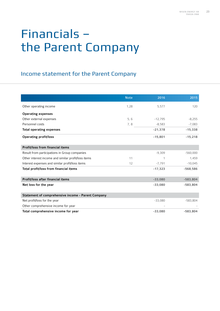# Financials – the Parent Company

## Income statement for the Parent Company

|                                                     | <b>Note</b> | 2016      | 2015       |
|-----------------------------------------------------|-------------|-----------|------------|
| Other operating income                              | 1,28        | 5,577     | 120        |
| <b>Operating expenses</b>                           |             |           |            |
| Other external expenses                             | 5,6         | $-12,795$ | $-8,255$   |
| Personnel costs                                     | 7,8         | $-8,583$  | $-7,083$   |
| <b>Total operating expenses</b>                     |             | $-21,378$ | $-15,338$  |
| <b>Operating profit/loss</b>                        |             | $-15,801$ | $-15,218$  |
|                                                     |             |           |            |
| Profit/loss from financial items                    |             |           |            |
| Result from participations in Group companies       |             | $-9,309$  | $-560,000$ |
| Other interest income and similar profit/loss items | 11          | 1         | 1,459      |
| Interest expenses and similar profit/loss items     | 12          | $-7,791$  | $-10,045$  |
| Total profit/loss from financial items              |             | $-17,323$ | $-568,586$ |
|                                                     |             |           |            |
| Profit/loss after financial items                   |             | $-33,080$ | $-583,804$ |
| Net loss for the year                               |             | $-33,080$ | $-583,804$ |
| Statement of comprehensive income - Parent Company  |             |           |            |
| Net profit/loss for the year                        |             | $-33,080$ | $-583,804$ |
| Other comprehensive income for year                 |             |           |            |
| Total comprehensive income for year                 |             | $-33,080$ | $-583,804$ |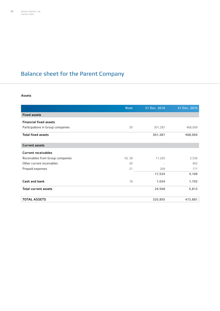# Balance sheet for the Parent Company

#### Assets

|                                   | <b>Note</b> | 31 Dec. 2016 | 31 Dec. 2015 |
|-----------------------------------|-------------|--------------|--------------|
| <b>Fixed assets</b>               |             |              |              |
| <b>Financial fixed assets</b>     |             |              |              |
| Participations in Group companies | 30          | 301,287      | 468,069      |
| <b>Total fixed assets</b>         |             | 301,287      | 468,069      |
| <b>Current assets</b>             |             |              |              |
| <b>Current receivables</b>        |             |              |              |
| Receivables from Group companies  | 18, 28      | 17,265       | 3,536        |
| Other current receivables         | 20          |              | 402          |
| Prepaid expenses                  | 21          | 269          | 171          |
|                                   |             | 17,534       | 4,109        |
| Cash and bank                     | 18          | 7,034        | 1,703        |
| <b>Total current assets</b>       |             | 24,568       | 5,812        |
| <b>TOTAL ASSETS</b>               |             | 325,855      | 473,881      |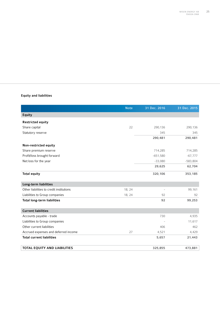#### Equity and liabilities

|                                          | <b>Note</b> | 31 Dec. 2016 | 31 Dec. 2015 |
|------------------------------------------|-------------|--------------|--------------|
| <b>Equity</b>                            |             |              |              |
| <b>Restricted equity</b>                 |             |              |              |
| Share capital                            | 22          | 290,136      | 290,136      |
| Statutory reserve                        |             | 345          | 345          |
|                                          |             | 290,481      | 290,481      |
| Non-restricted equity                    |             |              |              |
| Share premium reserve                    |             | 714,285      | 714,285      |
| Profit/loss brought forward              |             | $-651,580$   | $-67,777$    |
| Net loss for the year                    |             | $-33,080$    | $-583,804$   |
|                                          |             | 29,625       | 62,704       |
| <b>Total equity</b>                      |             | 320,106      | 353,185      |
| Long-term liabilities                    |             |              |              |
| Other liabilities to credit institutions | 18, 24      |              | 99,161       |
| Liabilities to Group companies           | 18, 24      | 92           | 92           |
| <b>Total long-term liabilities</b>       |             | 92           | 99,253       |
|                                          |             |              |              |
| <b>Current liabilities</b>               |             |              |              |
| Accounts payable - trade                 |             | 730          | 4,935        |
| Liabilities to Group companies           |             |              | 11,617       |
| Other current liabilities                |             | 406          | 462          |
| Accrued expenses and deferred income     | 27          | 4,521        | 4,429        |
| <b>Total current liabilities</b>         |             | 5,657        | 21,443       |
| TOTAL EQUITY AND LIABILITIES             |             | 325,855      | 473,881      |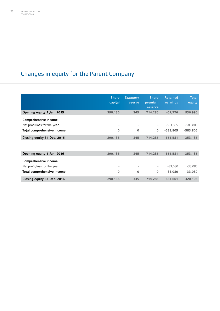# Changes in equity for the Parent Company

|                              | <b>Share</b><br>capital  | <b>Statutory</b><br>reserve | <b>Share</b><br>premium<br>reserve | <b>Retained</b><br>earnings | <b>Total</b><br>equity |
|------------------------------|--------------------------|-----------------------------|------------------------------------|-----------------------------|------------------------|
| Opening equity 1 Jan. 2015   | 290,136                  | 345                         | 714,285                            | $-67.776$                   | 936,990                |
| Comprehensive income         |                          |                             |                                    |                             |                        |
| Net profit/loss for the year | $\overline{\phantom{a}}$ | $\overline{\phantom{a}}$    | $\overline{\phantom{a}}$           | $-583,805$                  | $-583,805$             |
| Total comprehensive income   | 0                        | $\mathbf{0}$                | 0                                  | $-583,805$                  | $-583,805$             |
| Closing equity 31 Dec. 2015  | 290,136                  | 345                         | 714,285                            | $-651,581$                  | 353,185                |
|                              |                          |                             |                                    |                             |                        |
| Opening equity 1 Jan. 2016   | 290,136                  | 345                         | 714,285                            | $-651,581$                  | 353,185                |
| Comprehensive income         |                          |                             |                                    |                             |                        |
| Net profit/loss for the year | -                        | $\overline{\phantom{a}}$    | $\overline{\phantom{a}}$           | $-33,080$                   | $-33,080$              |
| Total comprehensive income   | $\mathbf 0$              | 0                           | 0                                  | $-33,080$                   | $-33,080$              |
| Closing equity 31 Dec. 2016  | 290,136                  | 345                         | 714,285                            | $-684.661$                  | 320,105                |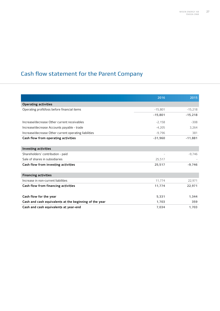## Cash flow statement for the Parent Company

|                                                        | 2016      | 2015      |
|--------------------------------------------------------|-----------|-----------|
| <b>Operating activities</b>                            |           |           |
| Operating profit/loss before financial items           | $-15,801$ | $-15,218$ |
|                                                        | $-15,801$ | $-15,218$ |
| Increase/decrease Other current receivables            | $-2,158$  | $-308$    |
| Increase/decrease Accounts payable - trade             | $-4,205$  | 3,264     |
| Increase/decrease Other current operating liabilities  | $-9,796$  | 381       |
| Cash flow from operating activities                    | $-31,960$ | $-11,881$ |
|                                                        |           |           |
| <b>Investing activities</b>                            |           |           |
| Shareholders' contribution - paid                      |           | $-9,746$  |
| Sale of shares in subsidiaries                         | 25,517    |           |
| Cash flow from investing activities                    | 25,517    | $-9,746$  |
|                                                        |           |           |
| <b>Financing activities</b>                            |           |           |
| Increase in non-current liabilities                    | 11,774    | 22,971    |
| Cash flow from financing activities                    | 11,774    | 22,971    |
|                                                        |           |           |
| Cash flow for the year                                 | 5,331     | 1,344     |
| Cash and cash equivalents at the beginning of the year | 1,703     | 359       |
| Cash and cash equivalents at year-end                  | 7,034     | 1,703     |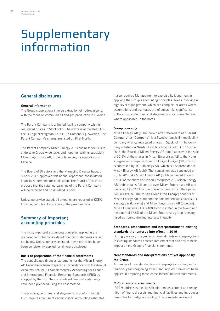# **Supplementary** information

### General disclosures

#### General information

The Group's operations involve extraction of hydrocarbons, with the focus on continued oil and gas production in Ukraine.

The Parent Company is a limited liability company with its registered offices in Stockholm. The address of the Head Office is Engelbrektsgatan 32, 411 37 Gothenburg, Sweden. The Parent Company's shares are listed on First North.

The Parent Company Misen Energy AB's business focus is to undertake Group-wide tasks and, together with its subsidiary Misen Enterprises AB, provide financing for operations in Ukraine.

The Board of Directors and the Managing Director have, on 5 April 2017, approved this annual report and consolidated financial statements for publication. The Board of Directors propose that the retained earnings of the Parent Company will be retained and no dividend is paid.

Unless otherwise stated, all amounts are reported in KSEK. Information in brackets refers to the previous year.

#### Summary of important accounting principles

The most important accounting principles applied in the preparation of the consolidated financial statements are set out below. Unless otherwise stated, these principles have been consistently applied for all years disclosed.

#### Basis of preparation of the financial statements

The consolidated financial statements for the Misen Energy AB Group have been prepared in accordance with the Annual Accounts Act, RFR 1 Supplementary Accounting for Groups, and International Financial Reporting Standards (IFRS) as adopted by the EU. The consolidated financial statements have been prepared using the cost method.

The preparation of financial statements in conformity with IFRS requires the use of certain critical accounting estimates. It also requires Management to exercise its judgement in applying the Group's accounting principles. Areas involving a high level of judgement, which are complex, or areas where assumptions and estimates are of substantial significance to the consolidated financial statements are commented on, where applicable, in the notes.

#### Group concepts

Misen Energy AB (publ) (herein after referred to as "Parent Company" or "Company") is a Swedish public limited liability company with its registered offices in Stockholm. The Company is listed on Nasdaq First North Stockholm. On 16 June 2016, the Board of Misen Energy AB (publ) approved the sale of 37.5% of the shares in Misen Enterprises AB to the Hong Kong-based company Powerful United Limited ("PUL"); PUL is controlled by TCT Holdings AB, which is a shareholder in Misen Energy AB (publ). The transaction was concluded on 5 July 2016. As Misen Energy AB (publ) continued to own 62.5% of the shares of Misen Enterprises AB, Misen Energy AB (publ) retains full control over Misen Enterprises AB and has a right to 62.5% of the future dividends from the operation in Ukraine. The Misen Group ("the Group") consists of Misen Energy AB (publ) and the part-owned subsidiaries LLC Karpatygaz (Ukraine) and Misen Enterprises AB (Sweden). Misen Enterprises AB is 100% consolidated in the Group and the external 37.5% of the Misen Enterprises group is recognised as non-controlling interests in equity.

#### Standards, amendments and interpretations to existing standards that entered into effect in 2016

During the year, no standards, amendments or interpretations to existing standards entered into effect that had any material impact on the Group's financial statements.

#### New standards and interpretations not yet applied by the Group

A number of new standards and interpretations effective for financial years beginning after 1 January 2016 have not been applied in preparing these consolidated financial statements.

#### IFRS 9 Financial instruments

IFRS 9 addresses the classification, measurement and recognition of financial assets and financial liabilities and introduces new rules for hedge accounting. The complete version of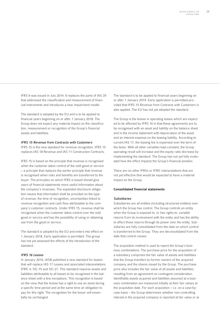IFRS 9 was issued in July 2014. It replaces the parts of IAS 39 that addressed the classification and measurement of financial instruments and introduces a new impairment model.

The standard is adopted by the EU and is to be applied to financial years beginning on or after 1 January 2018. The Group does not expect any material impact on the classification, measurement or recognition of the Group's financial assets and liabilities.

#### IFRS 15 Revenue from Contracts with Customers

IFRS 15 is the new standard for revenue recognition. IFRS 15 replaces IAS 18 Revenue and IAS 11 Construction Contracts.

IFRS 15 is based on the principle that revenue is recognised when the customer takes control of the sold good or service – a principle that replaces the earlier principle that revenue is recognised when risks and benefits are transferred to the buyer. The principles on which IFRS is based should give users of financial statements more useful information about the company's revenues. The expanded disclosure obligation means that information shall be provided on the type of revenue, the time of recognition, uncertainties linked to revenue recognition and cash flow attributable to the company's customer contracts. Under IFRS 15, revenue shall be recognised when the customer takes control over the sold good or service and has the possibility of using or obtaining use from the good or service.

The standard is adopted by the EU and enters into effect on 1 January 2018. Early application is permitted. The group has not yet assessed the effects of the introduction of the standard.

#### IFRS 16 Leases

In January 2016, IASB published a new standard for leases that will replace IAS 17 Leases and associated interpretations IFRIC 4, SIC-15 and SIC-27. This standard requires assets and liabilities attributable to all leases to be recognised in the balance sheet with a few exceptions. This recognition is based on the view that the lessee has a right to use an asset during a specific time period and at the same time an obligation to pay for this right. The recognition for the lessor will essentially be unchanged.

The standard is to be applied to financial years beginning on or after 1 January 2019. Early application is permitted provided that IFRS 15 Revenue from Contracts with Customers is also applied. The EU has not yet adopted the standard.

The Group is the lessee in operating leases which are expected to be affected by IFRS 16 in that these agreements are to be recognised with an asset and liability on the balance sheet and in the income statement with depreciation of the asset and an interest expense on the leasing liability. According to current IAS 17, the leasing fee is expensed over the term of the lease. With all other variables kept constant, the Group operating result will increase and the equity ratio decrease by implementing the standard. The Group has not yet fully evaluated how the effect impacts the Group's financial position.

There are no other IFRSs or IFRIC interpretations that are not yet effective that would be expected to have a material impact on the Group.

#### Consolidated financial statements

#### Subsidiaries

Subsidiaries are all entities (including structured entities) over which the Group has control. The Group controls an entity when the Group is exposed to, or has rights to, variable returns from its involvement with the entity and has the ability to affect those returns through its power over the entity. Subsidiaries are fully consolidated from the date on which control is transferred to the Group. They are deconsolidated from the date that control ceases.

The acquisition method is used to report the Group's business combinations. The purchase price for the acquisition of a subsidiary comprises the fair value of assets and liabilities that the Group transfers to former owners of the acquired company and the shares issued by the Group. The purchase price also includes the fair value of all assets and liabilities resulting from an agreement on contingent consideration. Identifiable assets acquired and liabilities assumed at a business combination are measured initially at their fair values at the acquisition date. For each acquisition – i.e. on a case-bycase basis – the Group determines whether non-controlling interest in the acquired company is reported at fair value or at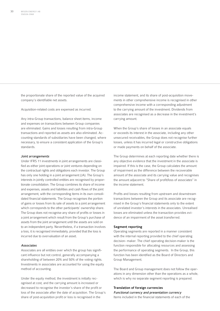the proportionate share of the reported value of the acquired company's identifiable net assets.

Acquisition-related costs are expensed as incurred.

Any intra-Group transactions, balance sheet items, income and expenses on transactions between Group companies are eliminated. Gains and losses resulting from intra-Group transactions and reported as assets are also eliminated. Accounting standards of subsidiaries have been changed, where necessary, to ensure a consistent application of the Group's standards.

#### Joint arrangements

Under IFRS 11 investments in joint arrangements are classified as either joint operations or joint ventures depending on the contractual rights and obligations each investor. The Group has only one holding in a joint arrangement (JA). The Group's interests in jointly controlled entities are recognised by proportionate consolidation. The Group combines its share of income and expenses, assets and liabilities and cash flows of the joint arrangement, with the corresponding items in its own consolidated financial statements. The Group recognises the portion of gains or losses from its sale of assets to a joint arrangement which corresponds to the other participants' ownership share. The Group does not recognise any share of profits or losses in a joint arrangement which result from the Group's purchase of assets from the joint arrangement until the assets are sold on to an independent party. Nevertheless, if a transaction involves a loss, it is recognised immediately, provided that the loss is incurred due to overvaluation of an asset.

#### Associates

Associates are all entities over which the group has significant influence but not control, generally accompanying a shareholding of between 20% and 50% of the voting rights. Investments in associates are accounted for using the equity method of accounting.

Under the equity method, the investment is initially recognised at cost, and the carrying amount is increased or decreased to recognise the investor's share of the profit or loss of the associate after the date of acquisition. The Group's share of post-acquisition profit or loss is recognised in the

income statement, and its share of post-acquisition movements in other comprehensive income is recognised in other comprehensive income with a corresponding adjustment to the carrying amount of the investment. Dividends from associates are recognised as a decrease in the investment's carrying amount.

When the Group's share of losses in an associate equals or exceeds its interest in the associate, including any other unsecured receivables, the Group does not recognise further losses, unless it has incurred legal or constructive obligations or made payments on behalf of the associate.

The Group determines at each reporting date whether there is any objective evidence that the investment in the associate is impaired. If this is the case, the Group calculates the amount of impairment as the difference between the recoverable amount of the associate and its carrying value and recognises the amount adjacent to "Share of profit/loss of associates" in the income statement.

Profits and losses resulting from upstream and downstream transactions between the Group and its associate are recognised in the Group's financial statements only to the extent of unrelated investor's interests in the associates. Unrealised losses are eliminated unless the transaction provides evidence of an impairment of the asset transferred.

#### Segment reporting

Operating segments are reported in a manner consistent with the internal reporting provided to the chief operating decision- maker. The chief operating decision-maker is the function responsible for allocating resources and assessing the performance of operating segments. In the Group, this function has been identified as the Board of Directors and Group Management.

The Board and Group management does not follow the operations in any dimension other than the operations as a whole, which is why no separate segment reporting is prepared.

#### Translation of foreign currencies

Functional currency and presentation currency Items included in the financial statements of each of the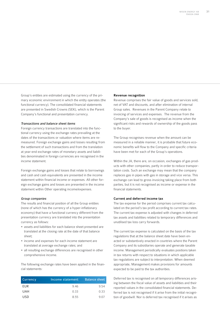Group's entities are estimated using the currency of the primary economic environment in which the entity operates (the functional currency). The consolidated financial statements are presented in Swedish Crowns (SEK), which is the Parent Company's functional and presentation currency.

#### Transactions and balance sheet items

Foreign currency transactions are translated into the functional currency using the exchange rates prevailing at the dates of the transactions or valuation where items are remeasured. Foreign exchange gains and losses resulting from the settlement of such transactions and from the translation at year-end exchange rates of monetary assets and liabilities denominated in foreign currencies are recognised in the income statement.

Foreign exchange gains and losses that relate to borrowings and cash and cash equivalents are presented in the income statement within financial income or expenses. All other foreign exchange gains and losses are presented in the income statement within Other operating income/expenses.

#### Group companies

The results and financial position of all the Group entities (none of which has the currency of a hyper-inflationary economy) that have a functional currency different from the presentation currency are translated into the presentation currency as follows:

- assets and liabilities for each balance sheet presented are translated at the closing rate at the date of that balance sheet;
- income and expenses for each income statement are translated at average exchange rates; and
- all resulting exchange differences are recognised in other comprehensive income.

The following exchange rates have been applied in the financial statements:

| Currency | Income statement | <b>Balance sheet</b> |
|----------|------------------|----------------------|
| EUR.     | 9.46             | 9.54                 |
| UAH      | 0.33             | 0.33                 |
| USD.     | 8.55             | 9 N 7                |

#### Revenue recognition

Revenue comprises the fair value of goods and services sold, net of VAT and discounts, and after elimination of internal Group sales. Revenues in the Parent Company relate to invoicing of services and expenses. The revenue from the Company's sale of goods is recognised as income when the significant risks and rewards of ownership of the goods pass to the buyer.

The Group recognises revenue when the amount can be measured in a reliable manner, it is probable that future economic benefits will flow to the Company and specific criteria have been met for each of the Group's operations.

Within the JA, there are, on occasion, exchanges of gas products with other companies, partly in order to reduce transportation costs. Such an exchange may mean that the company replaces gas in pipes with gas in storage and vice versa. This exchange can lead to gross invoicing taking place from both parties, but it is not recognised as income or expense in the financial statements.

#### Current and deferred income tax

The tax expense for the period comprises current tax calculated on the period's tax profit according to current tax rates. The current tax expense is adjusted with changes in deferred tax assets and liabilities related to temporary differences and unutilised tax loss carry forwards.

The current tax expense is calculated on the basis of the tax regulations that at the balance sheet date have been enacted or substantively enacted in countries where the Parent Company and its subsidiaries operate and generate taxable income. Management periodically evaluates positions taken in tax returns with respect to situations in which applicable tax regulations are subject to interpretation. When deemed appropriate, Management makes provisions for amounts expected to be paid to the tax authorities.

Deferred tax is recognised on all temporary differences arising between the fiscal value of assets and liabilities and their reported values in the consolidated financial statements. Deferred tax is not recognised if it arise from the initial recognition of goodwill. Nor is deferred tax recognised if it arises as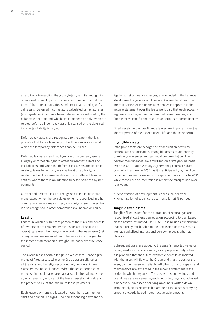a result of a transaction that constitutes the initial recognition of an asset or liability in a business combination that, at the time of the transaction, affects neither the accounting or fiscal results. Deferred income tax is calculated using tax rates (and legislation) that have been determined or advised by the balance sheet date and which are expected to apply when the related deferred income tax asset is realised or the deferred income tax liability is settled.

Deferred tax assets are recognised to the extent that it is probable that future taxable profit will be available against which the temporary differences can be utilised.

Deferred tax assets and liabilities are offset when there is a legally enforceable right to offset current tax assets and tax liabilities and when the deferred tax assets and liabilities relate to taxes levied by the same taxation authority and relate to either the same taxable entity or different taxable entities where there is an intention to settle balances by net payments.

Current and deferred tax are recognised in the income statement, except when the tax relates to items recognised in other comprehensive income or directly in equity. In such cases, tax is also recognised in other comprehensive income or equity.

#### Leasing

Leases in which a significant portion of the risks and benefits of ownership are retained by the lessor are classified as operating leases. Payments made during the lease term (net of any incentives received from the lessor) are charged to the income statement on a straight-line basis over the lease period.

The Group leases certain tangible fixed assets. Lease agreements of fixed assets where the Group essentially takes all the risks and benefits associated with ownership are classified as financial leases. When the lease period commences, financial leases are capitalised in the balance sheet at whichever is the lower of the leased asset's fair value and the present value of the minimum lease payments.

Each lease payment is allocated among the repayment of debt and financial charges. The corresponding payment ob-

ligations, net of finance charges, are included in the balance sheet items Long-term liabilities and Current liabilities. The interest portion of the financial expenses is reported in the income statement over the lease period so that each accounting period is charged with an amount corresponding to a fixed interest rate for the respective period's reported liability.

Fixed assets held under finance leases are impaired over the shorter period of the asset's useful life and the lease term.

#### Intangible assets

Intangible assets are recognised at acquisition cost less accumulated amortisation. Intangible assets relate entirely to extraction licences and technical documentation. The development licences are amortised on a straight-line basis over the JAA ("Joint Activity Agreement") contract's duration, which expires in 2031, as it is anticipated that it will be possible to extend licences with expiration dates prior to 2031 while technical documentation is amortised straight-line over four years.

- Amortisation of development licences 8% per year
- Amortisation of technical documentation 25% per year

#### Tangible fixed assets

Tangible fixed assets for the extraction of natural gas are recognised at cost less depreciation according to plan based on the asset's estimated useful life. Cost includes expenditure that is directly attributable to the acquisition of the asset, as well as capitalized interest and borrowing costs when applicable.

Subsequent costs are added to the asset's reported value or recognised as a separate asset, as appropriate, only when it is probable that the future economic benefits associated with the asset will flow to the Group and that the cost of the asset can be measured reliably. All other forms of repairs and maintenance are expensed in the income statement in the period in which they arise. The assets' residual values and useful lives are reviewed at each reporting date and adjusted if necessary. An asset's carrying amount is written down immediately to its recoverable amount if the asset's carrying amount exceeds its estimated recoverable amount.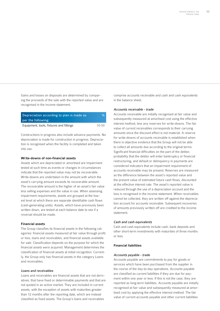Gains and losses on disposals are determined by comparing the proceeds of the sale with the reported value and are recognised in the income statement.

| Depreciation according to plan is made as | $\%$      |
|-------------------------------------------|-----------|
| per the following:                        |           |
| Equipment, tools, fixtures and fittings   | $10 - 50$ |

Constructions in progress also include advance payments. No depreciation is made for construction in progress. Depreciation is recognised when the facility is completed and taken into use.

#### Write-downs of non-financial assets

Assets which are depreciated or amortised are impairment tested at such time as events or changes in circumstances indicate that the reported value may not be recoverable. Write-downs are undertaken in the amount with which the asset's carrying amount exceeds its recoverable amount. The recoverable amount is the higher of an asset's fair value less selling expenses and the value in use. When assessing impairment requirements, assets are grouped at the lowest level at which there are separate identifiable cash flows (cash-generating units). Assets, which have previously been written down, are tested at each balance date to see if a reversal should be made.

#### Financial assets

The Group classifies its financial assets in the following categories: financial assets measured at fair value through profit or loss, loans and receivables, and financial assets available for sale. Classification depends on the purpose for which the financial assets were acquired. Management determines the classification of financial assets at initial recognition. Currently, the Group only has financial assets in the category Loans and receivables.

#### Loans and receivables

Loans and receivables are financial assets that are not derivatives, that have fixed or determinable payments and that are not quoted in an active market. They are included in current assets, with the exception of assets with maturities greater than 12 months after the reporting date, which are instead classified as fixed assets. The Group's loans and receivables

comprise accounts receivable and cash and cash equivalents in the balance sheet.

#### Accounts receivable - trade

Accounts receivable are initially recognised at fair value and subsequently measured at amortised cost using the effective interest method, less any reserves for write-downs. The fair value of current receivables corresponds to their carrying amounts since the discount effect is not material. A reserve for write-downs of accounts receivable is established when there is objective evidence that the Group will not be able to collect all amounts due according to the original terms. Significant financial difficulties on the part of the debtor, probability that the debtor will enter bankruptcy or financial restructuring, and default or delinquency in payments are considered indicators that an impairment requirement of accounts receivable may be present. Reserves are measured as the difference between the asset's reported value and the present value of estimated future cash flows, discounted at the effective interest rate. The asset's reported value is reduced through the use of a depreciation account and the loss is recognised in the income statement. When receivables cannot be collected, they are written off against the depreciation account for accounts receivable. Subsequent recoveries of amounts previously written off are credited to the income statement.

#### Cash and cash equivalents

Cash and cash equivalents include cash, bank deposits and other short-term investments with maturities of three months or less.

#### Financial liabilities

#### Accounts payable - trade

Accounts payable are commitments to pay for goods or services which have been purchased from the supplier in the course of the day-to-day operations. Accounts payable are classified as current liabilities if they are due for payment within one year or less. If this is not the case, they are reported as long-term liabilities. Accounts payable are initially recognised at fair value and subsequently measured at amortised cost by applying the effective interest method. The fair value of current accounts payable and other current liabilities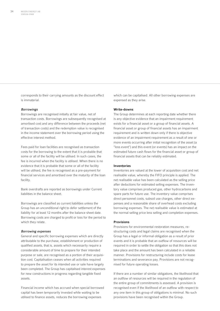corresponds to their carrying amounts as the discount effect is immaterial.

#### Borrowings

Borrowings are recognised initially at fair value, net of transaction costs. Borrowings are subsequently recognised at amortised cost and any difference between the proceeds (net of transaction costs) and the redemption value is recognised in the income statement over the borrowing period using the effective interest method.

Fees paid for loan facilities are recognised as transaction costs for the borrowing to the extent that it is probable that some or all of the facility will be utilised. In such cases, the fee is incurred when the facility is utilised. When there is no evidence that it is probable that some or all of the facility will be utilised, the fee is recognised as a pre-payment for financial services and amortised over the maturity of the loan facility.

Bank overdrafts are reported as borrowings under Current liabilities in the balance sheet.

Borrowings are classified as current liabilities unless the Group has an unconditional right to defer settlement of the liability for at least 12 months after the balance sheet date. Borrowing costs are charged to profit or loss for the period to which they relate.

#### Borrowing expenses

General and specific borrowing expenses which are directly attributable to the purchase, establishment or production of qualified assets, that is, assets which necessarily require a considerable amount of time to prepare for their intended purpose or sale, are recognised as a portion of their acquisition cost. Capitalisation ceases when all activities required to prepare the asset for its intended use or sale have largely been completed. The Group has capitalised interest expenses for new constructions in progress regarding tangible fixed assets.

Financial income which has accrued when special borrowed capital has been temporarily invested while waiting to be utilised to finance assets, reduces the borrowing expenses

which can be capitalised. All other borrowing expenses are expensed as they arise.

#### Write-downs

The Group determines at each reporting date whether there is any objective evidence that an impairment requirement exists for a financial asset or a group of financial assets. A financial asset or group of financial assets has an impairment requirement and is written down only if there is objective evidence of an impairment requirement as a result of one or more events occurring after initial recognition of the asset (a "loss event") and this event (or events) has an impact on the estimated future cash flows for the financial asset or group of financial assets that can be reliably estimated.

#### Inventories

Inventories are valued at the lower of acquisition cost and net realisable value, whereby the FIFO principle is applied. The net realisable value has been calculated as the selling price after deductions for estimated selling expenses. The inventory value comprises produced gas, other hydrocarbons and spare parts for future use. The inventory value comprises direct personnel costs, subsoil use charges, other direct expenses and a reasonable share of overhead costs excluding borrowing expenses. The net realisable value is estimated at the normal selling price less selling and completion expenses.

#### Provisions

Provisions for environmental restoration measures, restructuring costs and legal claims are recognised when the Group has a legal or informal obligation as a result of prior events and it is probable that an outflow of resources will be required in order to settle the obligation so that this does not take place and the amount has been calculated in a reliable manner. Provisions for restructuring include costs for lease terminations and severance pay. Provisions are not recognised for future operating losses.

If there are a number of similar obligations, the likelihood that an outflow of resources will be required in the regulation of the entire group of commitments is assessed. A provision is recognised even if the likelihood of an outflow with respect to any one item in this group of obligations is minimal. No such provisions have been recognised within the Group.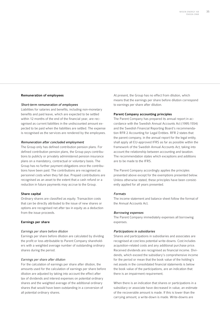#### Remuneration of employees

#### Short-term remuneration of employees

Liabilities for salaries and benefits, including non-monetary benefits and paid leave, which are expected to be settled within 12 months of the end of the financial year, are recognised as current liabilities in the undiscounted amount expected to be paid when the liabilities are settled. The expense is recognised as the services are rendered by the employees.

#### Remuneration after concluded employment

The Group only has defined contribution pension plans. For defined contribution pension plans, the Group pays contributions to publicly or privately administered pension insurance plans on a mandatory, contractual or voluntary basis. The Group has no further payment obligations once the contributions have been paid. The contributions are recognised as personnel costs when they fall due. Prepaid contributions are recognised as an asset to the extent that a cash refund or a reduction in future payments may accrue to the Group.

#### Share capital

Ordinary shares are classified as equity. Transaction costs that can be directly attributed to the issue of new shares or options are recognised net after tax in equity as a deduction from the issue proceeds.

#### Earnings per share

#### Earnings per share before dilution

Earnings per share before dilution are calculated by dividing the profit or loss attributable to Parent Company shareholders with a weighted average number of outstanding ordinary shares during the period.

#### Earnings per share after dilution

For the calculation of earnings per share after dilution, the amounts used for the calculation of earnings per share before dilution are adjusted by taking into account the effect after tax of dividends and interest expenses on potential ordinary shares and the weighted average of the additional ordinary shares that would have been outstanding in a conversion of all potential ordinary shares.

At present, the Group has no effect from dilution, which means that the earnings per share before dilution correspond to earnings per share after dilution.

#### Parent Company accounting principles

The Parent Company has prepared its annual report in accordance with the Swedish Annual Accounts Act (1995:1554) and the Swedish Financial Reporting Board's recommendation RFR 2 Accounting for Legal Entities. RFR 2 states that the parent company, in the annual report for the legal entity, shall apply all EU-approved IFRS as far as possible within the framework of the Swedish Annual Accounts Act, taking into account the relationship between accounting and taxation. The recommendation states which exceptions and additions are to be made to the IFRS.

The Parent Company accordingly applies the principles presented above except for the exemptions presented below. Unless otherwise stated, these principles have been consistently applied for all years presented.

#### Formats

The income statement and balance sheet follow the format of the Annual Accounts Act.

#### Borrowing expenses

The Parent Company immediately expenses all borrowing expenses.

#### Participations in subsidiaries

Shares and participations in subsidiaries and associates are recognised at cost less potential write-downs. Cost includes acquisition-related costs and any additional purchase price. Received dividends are recognised as financial income. Dividends, which exceed the subsidiary's comprehensive income for the period or mean that the book value of the holding's net assets in the consolidated financial statements is below the book value of the participations, are an indication that there is an impairment requirement.

When there is an indication that shares or participations in a subsidiary or associate have decreased in value, an estimate of the recoverable amount is made. If this is lower than the carrying amount, a write-down is made. Write-downs are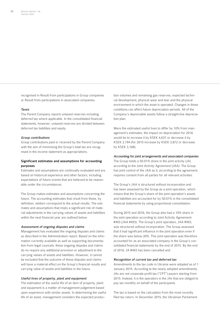recognised in Result from participations in Group companies or Result from participations in associated companies.

#### Taxes

The Parent Company reports untaxed reserves including deferred tax where applicable. In the consolidated financial statements, however, untaxed reserves are divided between deferred tax liabilities and equity.

#### Group contributions

Group contributions paid or received by the Parent Company with the aim of minimising the Group's total tax are recognised in the income statement as appropriations.

#### Significant estimates and assumptions for accounting purposes

Estimates and assumptions are continually evaluated and are based on historical experience and other factors, including expectations of future events that are believed to be reasonable under the circumstances.

The Group makes estimates and assumptions concerning the future. The accounting estimates that result from these, by definition, seldom correspond to the actual results. The estimates and assumptions that imply a significant risk of material adjustments in the carrying values of assets and liabilities within the next financial year are outlined below.

#### Assessment of ongoing disputes and claims

Management has evaluated the ongoing disputes and claims as described in the Administration report. Based on the information currently available as well as supporting documentation from legal councels, these ongoing disputes and claims do no require any additional provision or adjustment to the carrying values of assets and liabilities. However, it cannot be excluded that the outcome of these disputes and claims will have a material effect on the Group's financial results and carrying value of assets and liabilities in the future.

#### Useful lives of property, plant and equipment

The estimation of the useful life of an item of property, plant and equipment is a matter of management judgement based upon experience with similar assets. In determining the useful life of an asset, management considers the expected production volumes and remaining gas reserves, expected technical development, physical wear and tear and the physical environment in which the asset is operated. Changes in these conditions can affect future depreciation periods. All of the Company's depreciable assets follow a straight-line depreciation plan.

Were the estimated useful lives to differ by 10% from management's estimates, the impact on depreciation for 2016 would be to increase it by KSEK 4,637 or decrease it by KSEK 3,794 (for 2015 increase by KSEK 3,872 or decrease by KSEK 3,168).

#### Accounting for joint arrangements and associated companies

The Group holds a 50.01% share in the joint activity (JA) according to the Joint Activity Agreement (JAA). The Group has joint control of the JAA as it, according to the agreement, requires consent from all parties for all relevant activities.

The Group's JAA is structured without incorporation and has been assessed by the Group as a joint operation, which means that the Group's share of the joint operation's assets and liabilities are accounted for by 50.01% in the consolidated financial statements by using proportional consolidation.

During 2015 and 2016, the Group also had a 10% share in the joint operation according to Joint Activity Agreement #493 (JAA #493). The Group's joint operation, JAA #493, was structured without incorporation. The Group assessed that it had significant influence in the joint operation even if the share was below 20%. This joint operation was therefore accounted for as an associated company in the Group's consolidated financial statements by the end of 2015. By the end of 2016, JA #493 has been cancelled and

#### Recognition of current tax and deferred tax

Amendments to the tax code in Ukraine were adopted as of 1 January 2015. According to the newly adopted amendments, JAs are not corporate profit tax ("CPT") payers starting from 2015. Instead, it is the operators in the JAs that are obliged to pay tax monthly on behalf of the participants.

The tax is based on the calculation from the most recently filed tax return. In December 2015, the Ukrainian Parliament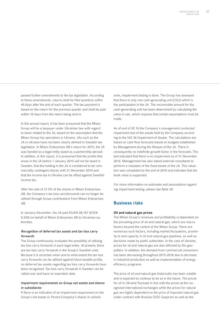passed further amendments to the tax legislation. According to these amendments, returns shall be filed quarterly within 40 days after the end of each quarter. The tax payment is based on the return for the previous quarter and shall be paid within 10 days from the return being sent in.

In this annual report, it has been presumed that the Misen Group will be a taxpayer under Ukrainian law with regard to taxes related to the JA, based on the assumption that the Misen Group has operations in Ukraine. JAs such as the JA in Ukraine have not been clearly defined in Swedish tax legislation. In Misen Enterprises AB's return for 2015, the JA was handed as a legal entity taxed as a partnership abroad. In addition, in this report, it is presumed that the profits that arose in the JA before 1 January 2015 will not be taxed in Sweden, that the holding in the JA is considered to be commercially contingent shares until 31 December 2014 and that the income tax in Ukraine can be offset against Swedish income tax.

After the sale of 37.5% of the shares in Misen Enterprises AB, the Company's tax loss carryforwards can no longer be utilised through Group contributions from Misen Enterprises AB.

In January-December, the JA paid KUAH 28,167 (KSEK 9,339) on behalf of Misen Enterprises AB to Ukrainian authorities.

## Recognition of deferred tax assets and tax loss carry forwards

The Group continuously evaluates the possibility of utilising tax loss carry forwards in each legal entity. At present, there are tax loss carry forwards in the Group's Swedish units. Because it is uncertain when and to what extent the tax loss carry forwards can be utilised against future taxable profits, no deferred tax assets regarding tax loss carry forwards have been recognised. Tax loss carry forwards in Sweden can be rolled over and have no expiration date.

## Impairment requirements on Group net assets and shares in subsidiaries

If there is an indication of an impairment requirement on the Group's net assets or Parent Company's shares in subsidiaries, impairment testing is done. The Group has assessed that there is only one cash-generating unit (CGU) which is the participation in the JA. The recoverable amount for the cash-generating unit has been determined by calculating the value in use, which requires that certain assumptions must be made.

As of end of 20 16 the Company's management conducted impairment test of the assets held by the Company according to the IAS 36 Impairment of Assets. The calculations are based on cash flow forecasts based on budgets established by Management during the lifespan of the JA. There is consequently no indefinite growth factor in the forecasts. The test indicated that there is no impairment as of 31 December 2016. Management has also asked external consultants to perform a valuation of the fixed assets of the JA. This valuation was completed by the end of 2016 and indicates that the book value is supported.

For more information on estimates and assumptions regarding impairment testing, please see Note 30.

## Business risks

## Oil and natural gas prices

The Misen Group's revenues and profitability is dependent on the prevailing price of oil and natural gas, which are macro factors beyond the control of the Misen Group. There are numerous such factors, including market fluctuations, proximity to and capacity in oil and natural gas pipelines, as well as decisions made by public authorities. In the case of Ukraine, prices for oil and natural gas are also affected by the geopolitics. In addition, the demand from commercial consumers has been decreasing throughout 2015-2016 due to decrease in industrial production as well as implementation of energy efficiency programs.

The price of oil and natural gas historically has been volatile and is expected to continue to be so in the future. The prices for oil in Ukraine fluctuate in line with the prices at the recognized international exchanges while the prices for natural gas are highly dependent on the price of imported natural gas under contract with Russian OJSC Gazprom as well as the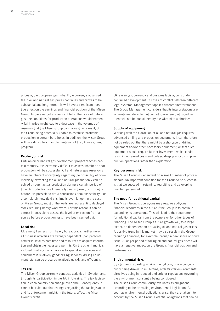prices at the European gas hubs. If the currently observed fall in oil and natural gas prices continues and proves to be substantial and long-term, this will have a significant negative effect on the earnings and financial position of the Misen Group. In the event of a significant fall in the price of natural gas, the conditions for production operations would worsen. A fall in price might lead to a decrease in the volumes of reserves that the Misen Group can harvest, as a result of the Group being potentially unable to establish profitable production in certain bore holes. In addition, the Misen Group will face difficulties in implementation of the JA investment program.

#### Production risk

Until an oil or natural gas development project reaches certain maturity, it is extremely difficult to assess whether or not production will be successful. Oil and natural gas reservoirs have an inherent uncertainty regarding the possibility of commercially extracting the oil and natural gas that only can be solved through actual production during a certain period of time. A production well generally needs three to six months before it is possible to draw conclusions about its stability. For a completely new field this time is even longer. In the case of Misen Group, most of the wells are representing depleted stock requiring heavy workovers. For this reason it can be almost impossible to assess the level of extraction from a source before production tests have been carried out.

#### Local risk

Ukraine still suffers from heavy bureaucracy. Furthermore, all business activities are strongly dependant upon personal networks. It takes both time and resources to acquire information and obtain the necessary permits. On the other hand, it is a closed market in which access to specialised services and equipment is relatively good: drilling services, drilling equipment, etc. can be procured relatively quickly and efficiently.

## Tax risk

The Misen Group currently conducts activities in Sweden and, through its participation in the JA, in Ukraine. The tax legislation in each country can change over time. Consequently, it cannot be ruled out that changes regarding the tax legislation and its enforcement might, in the future, affect the Misen Group's profit.

Ukrainian tax, currency and customs legislation is under continued development. In cases of conflict between different legal systems, Management applies different interpretations. The Group Management considers that its interpretations are accurate and durable, but cannot guarantee that its judgement will not be questioned by the Ukrainian authorities.

#### Supply of equipment

Working with the extraction of oil and natural gas requires advanced drilling and production equipment. It can therefore not be ruled out that there might be a shortage of drilling equipment and/or other necessary equipment, or that such equipment would require further investment, which could result in increased costs and delays, despite a focus on production operations rather than exploration.

#### Key personnel risk

The Misen Group is dependent on a small number of professionals. An important condition for the Group to be successful is that we succeed in retaining, recruiting and developing qualified personnel.

#### The need for additional capital

The Misen Group's operations may require additional financial resources in the future if the Group is to continue expanding its operations. This will lead to the requirement for additional capital from the owners or for other types of financing. The Misen Group's future growth will, to a large extent, be dependent on prevailing oil and natural gas prices. A positive trend in this market may also result in the Group requiring financing, for example through a new share or bond issue. A longer period of falling oil and natural gas prices will have a negative impact on the Group's financial position and performance.

#### Environmental risks

Stricter laws regarding environmental control are continuously being drawn up in Ukraine, with stricter environmental directives being introduced and stricter regulations governing the environment constantly being considered. The Misen Group continuously evaluates its obligations according to the prevailing environmental legislation. As soon as environmental obligations arise, they are taken into account by the Misen Group. Potential obligations that can be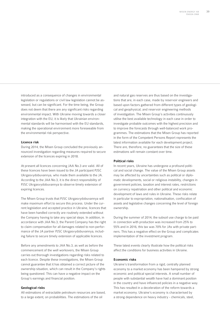introduced as a consequence of changes in environmental legislation or regulations or civil law legislation cannot be assessed, but can be significant. For the time being, the Group does not deem that there are any significant risks regarding environmental impact. With Ukraine moving towards a closer integration with the EU, it is likely that Ukrainian environmental standards will be harmonised with the EU standards, making the operational environment more foreseeable from the environmental risk perspective.

## Licence risk

During 2014, the Misen Group concluded the previously announced investigation regarding measures required to secure extension of the licences expiring in 2018.

At present all licences concerning JAA No.3 are valid. All of these licences have been issued to the JA participant PJSC Ukrgasvydobuvannya, who made them available to the JA. According to the JAA No.3, it is the direct responsibility of PJSC Ukrgasvydobuvannya to observe timely extension of expiring licences.

The Misen Group trusts that PJSC Ukrgasvydobuvannya will make maximum effort to secure this process. Under the current legislation and accepted practice in Ukraine, licences that have been handled correctly are routinely extended without the Company having to take any special steps. In addition, in accordance with JAA No.3, the Parent Company has the right to claim compensation for all damages related to non-performance of the JA partner PJSC Ukrgasvydobuvannya, including failure to secure timely extension of applicable licences.

Before any amendments to JAA No.3, as well as before the commencement of the well workovers, the Misen Group carries out thorough investigations regarding risks related to each licence. Despite these investigations, the Misen Group cannot guarantee that it has obtained a correct picture of the ownership situation, which can result in the Company's rights being questioned. This can have a negative impact on the Group's earnings and financial position.

#### Geological risks

All estimations of extractable petroleum resources are based, to a large extent, on probabilities. The estimations of the oil

and natural gas reserves are thus based on the investigations that are, in each case, made by reservoir engineers and based upon factors gathered from different types of geological and geophysical, and reservoir engineering methods of investigation. The Misen Group's activities continuously utilise the best available technology in each case in order to investigate probable outcomes with the highest precision and to improve the forecasts through well-balanced work programmes. The estimations that the Misen Group has reported in the form of the Competent Persons Report represents the latest information available for each development project. There are, therefore, no guarantees that the size of these estimations will remain constant over time.

## Political risks

In recent years, Ukraine has undergone a profound political and social change. The value of the Misen Group assets may be affected by uncertainties such as political or diplomatic developments, social or religious instability, changes in government policies, taxation and interest rates, restrictions on currency repatriation and other political and economic development of laws and rules in Ukraine. These risks relate in particular to expropriation, nationalisation, confiscation of assets and legislative changes concerning the level of foreign ownership.

During the summer of 2014, the subsoil use charge to be paid in connection with production was increased from 25% to 55% and in 2016, this tax was 70% for JAs with private partners. This has a negative effect on the Group and complicates implementation of the investment program.

These latest events clearly illustrate how the political risks affect the conditions for business activities in Ukraine.

#### Economic risks

Ukraine's transformation from a rigid, centrally planned economy to a market economy has been hampered by strong economic and political special interests. A small number of people with substantial wealth have had a dominant position in the country and have influenced policies in a negative way. This has resulted in a deceleration of the reform towards a market economy. Ukraine's economy is characterised by a strong dependence on heavy industry - chemicals, steel,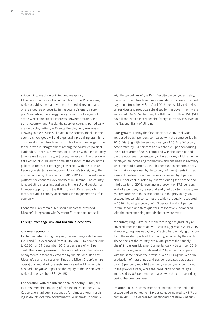shipbuilding, machine building and weaponry.

Ukraine also acts as a transit country for the Russian gas, which provides the state with much-needed revenue and offers a degree of security in the country's energy supply. Meanwhile, the energy policy remains a foreign policy scene where the special interests between Ukraine, the transit country, and Russia, the supplier country, periodically are on display. After the Orange Revolution, there was an upswing in the business climate in the country thanks to the country's new goodwill and a generally prevailing optimism. This development has taken a turn for the worse, largely due to the previous disagreement among the country's political leadership. There is, however, still a desire within the country to increase trade and attract foreign investors. The presidential election of 2010 led to some stabilisation of the country's political climate, but emerging closer ties with the Russian Federation started slowing down Ukraine's transition to the market economy. The events of 2013-2014 introduced a new platform for economic development in Ukraine. The country is negotiating closer integration with the EU and substantial financial support from the IMF, EU and US is being offered, provided country accelerates the major reforms of its economy.

Economic risks remain, but should decrease provided Ukraine's integration with Western Europe does not stall.

#### Foreign exchange risk and Ukraine's economy

#### Ukraine's economy

Exchange rate. During the year, the exchange rate between UAH and SEK decreased from 0.3468 on 31 December 2015 to 0.3301 on 31 December 2016, a decrease of -4.8 per cent. The primary reason for this was deficits in the balance of payments, essentially covered by the National Bank of Ukraine's currency reserve. Since the Misen Group's entire operations and all of its assets are located in Ukraine, this has had a negative impact on the equity of the Misen Group, which decreased by KSEK 24,452.

Cooperation with the International Monetay Fund (IMF). IMF resumed the financing of Ukraine in December 2016. Cooperation had been suspended for almost a year, resulting in doubts over the government's willingness to comply

with the guidelines of the IMF. Despite the continued delay, the government has taken important steps to allow continued payments from the IMF; in April 2016 the established levies on services and products subsidized by the government were increased. On 16 September, the IMF paid 1 billion USD (SEK 8.6 billions) which increased the foreign currency reserves of the National Bank of Ukraine.

GDP growth. During the first quarter of 2016, real GDP increased by 0.1 per cent compared with the same period in 2015. Starting with the second quarter of 2016, GDP growth accelerated by 1.4 per cent and reached 2.0 per cent during the third quarter of 2016, compared with the same periods the previous year. Consequently, the economy of Ukraine has displayed an increasing momentum and has been in recovery since the third quarter 2015. This rebound in economic activity is mainly explained by the growth of investments in fixed assets. Investments in fixed assets increased by 9 per cent and 4.7 per cent, quarter-by-quarter, during the second and third quarter of 2016, resulting in a growth of 17.6 per cent and 24.8 per cent in the second and third quarter, respectively, compared with the same periods in the previous year. Increased household consumption, which gradually recovered in 2016, showing a growth of 4.3 per cent and 4.9 per cent for the second and third quarters, respectively, compared with the corresponding periods the previous year.

Manufacturing. Ukraine's manufacturing has gradually recovered after the more active Russian aggression 2014-2015. Manufacturing was negatively affected by the halting of activity in the eastern parts of the country, affected by the conflict. These parts of the country are a vital part of the "supply chain" in Eastern Ukraine. During January - December 2016, manufacturing growth stabilized at 2.4 per cent, compared with the same period the previous year. During the year, the production of natural gas and gas condensates decreased by -1.8 per cent and -10.9 per cent, respectively, compared to the previous year, while the production of natural gas increased by 0.6 per cent compared with the corresponding period the previous year.

Inflation. In 2016, consumer price inflation continued to decrease and amounted to 13.9 per cent, compared to 48.7 per cent in 2015. The decreased inflationary pressure was fun-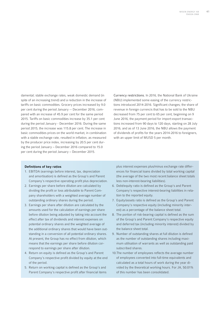damental; stable exchange rates, weak domestic demand (in spite of an increasing trend) and a reduction in the increase of tariffs on basic commodities. Grocery prices increased by 9.0 per cent during the period January -- December 2016, compared with an increase of 45.9 per cent for the same period 2015. Tariffs on basic commodities increase by 35.1 per cent during the period January - December 2016. During the same period 2015, the increase was 115.8 per cent. The increase in basic commodities prices on the world market, in combination with a stable exchange rate, resulted in inflation, as measured by the producer price index, increasing by 20.5 per cent during the period January – December 2016 compared to 15.0 per cent during the period January – December 2015.

Currency restrictions. In 2016, the National Bank of Ukraine (NBU) implemented some easing of the currency restrictions introduced 2014-2016. Significant changes; the share of revenue in foreign currencis that has to be sold to the NBU decreased from 75 per cent to 65 per cent, beginning on 9 June 2016, the payment period for import-export transactions increased from 90 days to 120 days, starting on 28 July 2016, and as of 13 June 2016, the NBU allows the payment of dividends of profits for the years 2014-2016 to foreigners, with an upper limit of MUSD 5 per month.

## Definitions of key ratios

- 1. EBITDA (earnings before interest, tax, depreciation and amortisation) is defined as the Group's and Parent Company's respective operating profit plus depreciation.
- 2. Earnings per share before dilution are calculated by dividing the profit or loss attributable to Parent Company shareholders with a weighted average number of outstanding ordinary shares during the period.
- 3. Earnings per share after dilution are calculated by the amounts used for the calculation of earnings per share before dilution being adjusted by taking into account the effect after tax of dividends and interest expenses on potential ordinary shares and the weighted average of the additional ordinary shares that would have been outstanding in a conversion of all potential ordinary shares. At present, the Group has no effect from dilution, which means that the earnings per share before dilution correspond to earnings per share after dilution.
- 4. Return on equity is defined as the Group's and Parent Company's respective profit divided by equity at the end of the period.
- 5. Return on working capital is defined as the Group's and Parent Company's respective profit after financial items

plus interest expenses plus/minus exchange rate differences for financial loans divided by total working capital (the average of the two most recent balance sheet totals less non-interest-bearing liabilities).

- 6. Debt/equity ratio is defined as the Group's and Parent Company's respective interest-bearing liabilities in relation to the reported equity.
- 7. Equity/assets ratio is defined as the Group's and Parent Company's respective equity (including minority interest) as a percentage of the balance sheet total.
- 8. The portion of risk-bearing capital is defined as the sum of the Group's and Parent Company's respective equity and deferred tax (including minority interest) divided by the balance sheet total.
- 9. Number of outstanding shares at full dilution is defined as the number of outstanding shares including maximum utilisation of warrants as well as outstanding paid subscribed shares.
- 10.The number of employees reflects the average number of employees converted into full-time equivalents and calculated as a total hours of work during the year divided by the theoretical working hours. For JA, 50.01% of this number has been consolidated.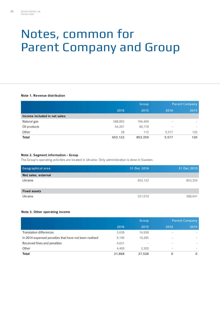# Notes, common for Parent Company and Group

## Note 1. Revenue distribution

|                               |         | Group   |                   | <b>Parent Company</b>    |
|-------------------------------|---------|---------|-------------------|--------------------------|
|                               | 2016    | 2015    | 2016              | 2015                     |
| Income included in net sales: |         |         |                   |                          |
| Natural gas                   | 588,893 | 766,469 | $\qquad \qquad =$ | -                        |
| Oil products                  | 64,201  | 86,778  | -                 | $\overline{\phantom{a}}$ |
| Other                         | 28      | 112     | 5,577             | 120                      |
| <b>Total</b>                  | 653,122 | 853,359 | 5,577             | 120                      |

## Note 2. Segment information - Group

The Group's operating activities are located in Ukraine. Only administration is done in Sweden.

| Geographical area   | 31 Dec 2016 | 31 Dec 2015 |
|---------------------|-------------|-------------|
| Net sales, external |             |             |
| <b>Ukraine</b>      | 653,122     | 853,359     |
| <b>Fixed assets</b> |             |             |
| Ukraine             | 531,010     | 588,941     |

## Note 3. Other operating income

|                                                        |        | Group                    |      | <b>Parent Company</b> |
|--------------------------------------------------------|--------|--------------------------|------|-----------------------|
|                                                        | 2016   | 2015                     | 2016 | 2015                  |
| Translation differences                                | 3,638  | 14,938                   | -    |                       |
| In 2014 expensed penalties that have not been realised | 9,190  | 10,285                   | -    |                       |
| Received fines and penalties                           | 4,631  | $\overline{\phantom{a}}$ | ۰    |                       |
| Other                                                  | 4,409  | 2,305                    | -    |                       |
| Total                                                  | 21,868 | 27,528                   |      | 0                     |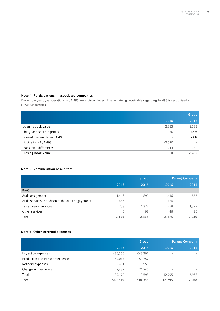## Note 4. Participations in associated companies

During the year, the operations in JA 493 were discontinued. The remaining receivable regarding JA 493 is recognised as Other receivables.

|                              |                          | Group    |
|------------------------------|--------------------------|----------|
|                              | 2016                     | 2015     |
| Opening book value           | 2,383                    | 2,383    |
| This year's share in profits | 350                      | 3,486    |
| Booked dividend from JA 493  | $\overline{\phantom{a}}$ | $-2,845$ |
| Liquidation of JA 493        | $-2,520$                 | ۰        |
| Translation differences      | $-213$                   | $-742$   |
| Closing book value           | 0                        | 2,282    |

## Note 5. Remuneration of auditors

|                                                    |       | Group |       | <b>Parent Company</b> |
|----------------------------------------------------|-------|-------|-------|-----------------------|
|                                                    | 2016  | 2015  | 2016  | 2015                  |
| PwC                                                |       |       |       |                       |
| Audit assignment                                   | 1,416 | 890   | 1,416 | 557                   |
| Audit services in addition to the audit engagement | 456   |       | 456   |                       |
| Tax advisory services                              | 258   | 1,377 | 258   | 1,377                 |
| Other services                                     | 46    | 98    | 46    | 96                    |
| <b>Total</b>                                       | 2,175 | 2,365 | 2,175 | 2,030                 |

## Note 6. Other external expenses

|                                   |         | Group   |                          | <b>Parent Company</b> |
|-----------------------------------|---------|---------|--------------------------|-----------------------|
|                                   | 2016    | 2015    | 2016                     | 2015                  |
| <b>Extraction expenses</b>        | 436,356 | 643,397 | $\overline{\phantom{a}}$ |                       |
| Production and transport expenses | 69,063  | 50,757  | $\overline{\phantom{a}}$ | -                     |
| Refinery expenses                 | 2,491   | 9,955   | $\overline{\phantom{a}}$ | -                     |
| Change in inventories             | 2,437   | 21,246  | $\overline{\phantom{a}}$ |                       |
| Total                             | 39,172  | 13,598  | 12.795                   | 7,968                 |
| <b>Total</b>                      | 549,519 | 738,953 | 12,795                   | 7,968                 |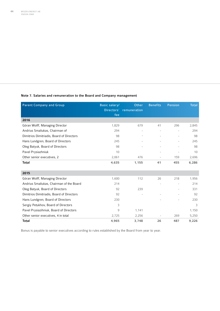44 MISEN ENERGY AB 556526-3968

## Note 7. Salaries and remuneration to the Board and Company management

| <b>Parent Company and Group</b>           | Basic salary/<br>Directors'<br>fee | <b>Other</b><br>remuneration | <b>Benefits</b> | <b>Pension</b>           | <b>Total</b> |
|-------------------------------------------|------------------------------------|------------------------------|-----------------|--------------------------|--------------|
| 2016                                      |                                    |                              |                 |                          |              |
| Göran Wolff, Managing Director            | 1,829                              | 679                          | 41              | 296                      | 2,845        |
| Andrius Smaliukas, Chairman of            | 294                                |                              |                 |                          | 294          |
| Dimitrios Dimitriadis, Board of Directors | 98                                 |                              |                 | $\overline{\phantom{0}}$ | 98           |
| Hans Lundgren, Board of Directors         | 245                                |                              |                 | $\overline{\phantom{a}}$ | 245          |
| Oleg Batyuk, Board of Directors           | 98                                 |                              |                 |                          | 98           |
| Pavel Prysiazhniuk                        | 10                                 |                              |                 |                          | 10           |
| Other senior executives, 2                | 2,061                              | 476                          |                 | 159                      | 2,696        |
| <b>Total</b>                              | 4,635                              | 1,155                        | 41              | 455                      | 6,286        |
| 2015                                      |                                    |                              |                 |                          |              |
| Göran Wolff, Managing Director            | 1,600                              | 112                          | 26              | 218                      | 1,956        |
| Andrius Smaliukas, Chairman of the Board  | 214                                |                              |                 | $\overline{\phantom{0}}$ | 214          |
| Oleg Batyuk, Board of Directors           | 92                                 | 239                          |                 |                          | 331          |
| Dimitrios Dimitriadis, Board of Directors | 92                                 |                              |                 | $\qquad \qquad -$        | 92           |
| Hans Lundgren, Board of Directors         | 230                                |                              |                 | $\bar{\phantom{a}}$      | 230          |
| Sergiy Petukhov, Board of Directors       | 3                                  |                              |                 |                          | 3            |
| Pavel Prysiazihniuk, Board of Directors   | 9                                  | 1,141                        |                 |                          | 1,150        |
| Other senior executives, 4 in total       | 2,725                              | 2,256                        | $\overline{a}$  | 269                      | 5,250        |
| <b>Total</b>                              | 4,965                              | 3,748                        | 26              | 487                      | 9,226        |

Bonus is payable to senior executives according to rules established by the Board from year to year.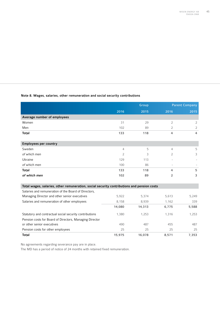## Note 8. Wages, salaries, other remuneration and social security contributions

|                                                                                            |                | Group  |                          | <b>Parent Company</b> |
|--------------------------------------------------------------------------------------------|----------------|--------|--------------------------|-----------------------|
|                                                                                            | 2016           | 2015   | 2016                     | 2015                  |
| Average number of employees                                                                |                |        |                          |                       |
| Women                                                                                      | 31             | 29     | 2                        | 2                     |
| Men                                                                                        | 102            | 89     | 2                        | $\overline{2}$        |
| <b>Total</b>                                                                               | 133            | 118    | $\overline{4}$           | $\overline{4}$        |
|                                                                                            |                |        |                          |                       |
| <b>Employees per country</b>                                                               |                |        |                          |                       |
| Sweden                                                                                     | $\overline{4}$ | 5      | $\overline{4}$           | 5                     |
| of which men                                                                               | 2              | 3      | 2                        | 3                     |
| Ukraine                                                                                    | 129            | 113    |                          |                       |
| of which men                                                                               | 100            | 86     | $\overline{\phantom{a}}$ |                       |
| <b>Total</b>                                                                               | 133            | 118    | $\overline{4}$           | 5                     |
| of which men                                                                               | 102            | 89     | 2                        | 3                     |
|                                                                                            |                |        |                          |                       |
| Total wages, salaries, other remuneration, social security contributions and pension costs |                |        |                          |                       |
| Salaries and remuneration of the Board of Directors.                                       |                |        |                          |                       |
| Managing Director and other senior executives                                              | 5,922          | 5,374  | 5,613                    | 5,249                 |
| Salaries and remuneration of other employees                                               | 8,158          | 8,939  | 1,162                    | 339                   |
|                                                                                            | 14,080         | 14,313 | 6,775                    | 5,588                 |
| Statutory and contractual social security contributions                                    | 1,380          | 1,253  | 1,316                    | 1,253                 |
| Pension costs for Board of Directors, Managing Director                                    |                |        |                          |                       |
| or other senior executives                                                                 | 490            | 487    | 455                      | 487                   |
| Pension costs for other employees                                                          | 25             | 25     | 25                       | 25                    |
| <b>Total</b>                                                                               | 15,975         | 16,078 | 8,571                    | 7,353                 |

No agreements regarding severance pay are in place.

The MD has a period of notice of 24 months with retained fixed remuneration.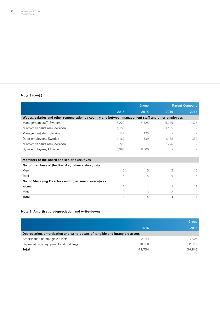## Note 8 (cont.)

|                                                                                                    |       | Group |       | <b>Parent Company</b> |
|----------------------------------------------------------------------------------------------------|-------|-------|-------|-----------------------|
|                                                                                                    | 2016  | 2015  | 2016  | 2015                  |
| Wages, salaries and other remuneration by country and between management staff and other employees |       |       |       |                       |
| Management staff, Sweden                                                                           | 5,222 | 4,325 | 5,045 | 4,325                 |
| of which variable remuneration                                                                     | 1,155 |       | 1,155 |                       |
| Management staff, Ukraine                                                                          | 132   | 125   |       |                       |
| Other employees, Sweden                                                                            | 1,162 | 339   | 1,162 | 339                   |
| of which variable remuneration                                                                     | 226   |       | 226   |                       |
| Other employees, Ukraine                                                                           | 6,996 | 8,600 |       |                       |
|                                                                                                    |       |       |       |                       |
| <b>Members of the Board and senior executives</b>                                                  |       |       |       |                       |
| No. of members of the Board at balance sheet date                                                  |       |       |       |                       |
| Men                                                                                                | 5     | 5     | 5     | 5                     |
| Total                                                                                              | 5     | 5     | 5     | 5                     |
| No. of Managing Directors and other senior executives                                              |       |       |       |                       |
| Women                                                                                              |       |       |       |                       |
| Men                                                                                                | 2     | 3     | 2     | 2                     |
| <b>Total</b>                                                                                       | 3     | 4     | 3     | 3                     |

## Note 9. Amortisation/depreciation and write-downs

|                                                                              |        | Group  |
|------------------------------------------------------------------------------|--------|--------|
|                                                                              | 2016   | 2015   |
| Depreciation, amortisation and write-downs of tangible and intangible assets |        |        |
| Amortisation of intangible assets                                            | 2,934  | 2,928  |
| Depreciation of equipment and buildings                                      | 38,800 | 31,917 |
| Total                                                                        | 41.734 | 34,845 |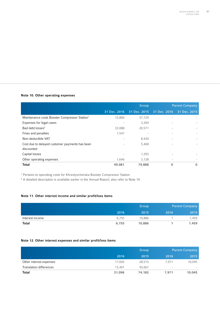## Note 10. Other operating expenses

|                                                           |                          | Group        |              | <b>Parent Company</b> |
|-----------------------------------------------------------|--------------------------|--------------|--------------|-----------------------|
|                                                           | 31 Dec. 2016             | 31 Dec. 2015 | 31 Dec. 2016 | 31 Dec. 2015          |
| Maintenance costs Booster Compressor Station <sup>1</sup> | 12,800                   | 37,729       |              |                       |
| Expenses for legal cases                                  | $\overline{\phantom{a}}$ | 3,269        |              |                       |
| Bad debt losses <sup>2</sup>                              | 33,088                   | 20,571       |              |                       |
| Fines and penalties                                       | 1,547                    |              |              |                       |
| Non-deductible VAT                                        |                          | 8,430        |              |                       |
| Cost due to delayed customer payments has been            |                          | 5,468        |              |                       |
| discounted                                                |                          |              |              |                       |
| Capital losses                                            |                          | 1,293        |              |                       |
| Other operating expenses                                  | 1,646                    | 3,128        | ۰            |                       |
| <b>Total</b>                                              | 49,081                   | 79,888       | 0            | 0                     |

1 Pertains to operating costs for Khrestyschenska Booster Compressor Station

<sup>2</sup> A detailed description is available earlier in the Annual Report, also refer to Note 19

## Note 11. Other interest income and similar profit/loss items

|                 |       | Group  |      | <b>Parent Company</b> |
|-----------------|-------|--------|------|-----------------------|
|                 | 2016  | 2015   | 2016 | 2015                  |
| Interest income | 6.755 | 10,886 |      | 1,459                 |
| Total           | 6,755 | 10,886 |      | 1,459                 |

## Note 12. Other interest expenses and similar profit/loss items

|                         |        | Group  |                          | <b>Parent Company</b> |
|-------------------------|--------|--------|--------------------------|-----------------------|
|                         | 2016   | 2015   | 2016                     | 2015                  |
| Other interest expenses | 17,605 | 28,515 | 7.971                    | 10,045                |
| Translation differences | 13.491 | 45.667 | $\overline{\phantom{a}}$ | -                     |
| <b>Total</b>            | 31,096 | 74,182 | 7,971                    | 10,045                |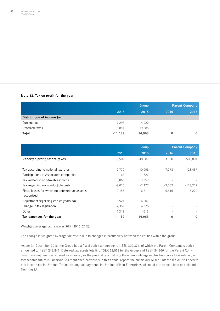## Note 13. Tax on profit for the year

|                            |           | Group    |                          | <b>Parent Company</b>    |
|----------------------------|-----------|----------|--------------------------|--------------------------|
|                            | 2016      | 2015     | 2016                     | 2015                     |
| Distribution of income tax |           |          |                          |                          |
| Current tax                | $-7,298$  | $-4,922$ | $\overline{\phantom{a}}$ | $\overline{\phantom{a}}$ |
| Deferred taxes             | $-3,841$  | 19,885   | $\overline{\phantom{a}}$ | $\overline{\phantom{a}}$ |
| Total                      | $-11,139$ | 14,963   | 0                        | 0                        |

|                                                  |           | Group     |           | <b>Parent Company</b> |
|--------------------------------------------------|-----------|-----------|-----------|-----------------------|
|                                                  | 2016      | 2015      | 2016      | 2015                  |
| Reported profit before taxes                     | $-5,509$  | $-48,687$ | $-33,080$ | $-583,804$            |
|                                                  |           |           |           |                       |
| Tax according to national tax rates              | 2,770     | 10,098    | 7,278     | 128,437               |
| Participations in Associated companies           | $-63$     | 627       |           |                       |
| Tax related to non-taxable income                | 6,860     | 3,357     |           |                       |
| Tax regarding non-deductible costs               | $-9,025$  | $-2,177$  | $-2,062$  | $-123,217$            |
| Fiscal losses for which no deferred tax asset is | $-9,156$  | $-6,711$  | $-5,516$  | $-5,220$              |
| recognised                                       |           |           |           |                       |
| Adjustment regarding earlier years' tax          | 3,521     | 6,007     |           |                       |
| Change in tax legislation                        | $-7,359$  | 4,375     |           |                       |
| Other                                            | 1,313     | $-613$    |           |                       |
| Tax expenses for the year                        | $-11,139$ | 14,963    | 0         | 0                     |

Weighted average tax rate was 20% (2015: 21%).

The change in weighted average tax rate is due to changes in profitability between the entities within the group.

As per 31 December 2016, the Group had a fiscal deficit amounting to KSEK 309,371, of which the Parent Company's deficit amounted to KSEK 249,847. Deferred tax assets totalling TSEK 68,062 for the Group and TSEK 54,966 for the Parent Company have not been recognised as an asset, as the possibility of utilizing these amounts against tax loss carry forwards in the foreseeable future is uncertain. As mentioned previously in this annual report, the subsidiary Misen Enterprises AB will need to pay income tax in Ukraine. To finance any tax payments in Ukraine, Misen Enterprises will need to receive a loan or dividend from the JA.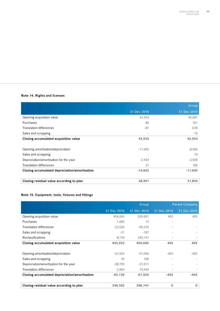## Note 14. Rights and licenses

|                                               |                          | Group       |
|-----------------------------------------------|--------------------------|-------------|
|                                               | 31 Dec 2016              | 31 Dec 2015 |
| Opening acquisition value                     | 43,554                   | 44,081      |
| Purchases                                     | 86                       | 161         |
| Translation differences                       | $-87$                    | $-678$      |
| Sales and scrapping                           | $\overline{\phantom{a}}$ | $-10$       |
| Closing accumulated acquisition value         | 43,553                   | 43,554      |
|                                               |                          |             |
| Opening amortisation/depreciation             | $-11,695$                | $-8,966$    |
| Sales and scrapping                           |                          | 10          |
| Depreciation/amortisation for the year        | $-2,934$                 | $-2,928$    |
| Translation differences                       | 27                       | 189         |
| Closing accumulated depreciation/amortisation | $-14,602$                | $-11,695$   |
|                                               |                          |             |
| Closing residual value according to plan      | 28,951                   | 31,859      |

## Note 15. Equipment, tools, fixtures and fittings

|                                               |             | Group       |             | <b>Parent Company</b> |
|-----------------------------------------------|-------------|-------------|-------------|-----------------------|
|                                               | 31 Dec 2016 | 31 Dec 2015 | 31 Dec 2016 | 31 Dec 2015           |
| Opening acquisition value                     | 454,665     | 209,607     | 403         | 403                   |
| Purchases                                     | 1,685       | 14          |             |                       |
| Translation differences                       | $-22,026$   | $-95,516$   |             |                       |
| Sales and scrapping                           | $-31$       | $-187$      |             |                       |
| <b>Reclassifications</b>                      | 8,739       | 340,747     |             |                       |
| Closing accumulated acquisition value         | 443,032     | 454,665     | 403         | 403                   |
|                                               |             |             |             |                       |
| Opening amortisation/depreciation             | $-57,924$   | $-41,056$   | $-403$      | $-403$                |
| Sales and scrapping                           | 30          | 106         |             |                       |
| Depreciation/amortisation for the year        | $-38,799$   | $-31,917$   |             |                       |
| Translation differences                       | 2,964       | 14,943      |             |                       |
| Closing accumulated depreciation/amortisation | $-93,729$   | $-57,924$   | $-403$      | $-403$                |
|                                               |             |             |             |                       |
| Closing residual value according to plan      | 349,303     | 396,741     | 0           | 0                     |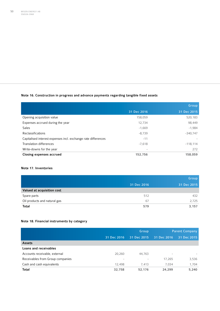## Note 16. Construction in progress and advance payments regarding tangible fixed assets

|                                                               |                          | Group       |
|---------------------------------------------------------------|--------------------------|-------------|
|                                                               | 31 Dec 2016              | 31 Dec 2015 |
| Opening acquisition value                                     | 158.059                  | 520,183     |
| Expenses accrued during the year                              | 12.734                   | 98,449      |
| Sales                                                         | $-1.669$                 | $-1,984$    |
| Reclassifications                                             | $-8.739$                 | $-340.747$  |
| Capitalised interest expenses incl. exchange rate differences | $-11$                    |             |
| Translation differences                                       | $-7,618$                 | $-118.114$  |
| Write-downs for the year                                      | $\overline{\phantom{a}}$ | 272         |
| <b>Closing expenses accrued</b>                               | 152.756                  | 158.059     |

## Note 17. Inventories

|                              |             | Group       |
|------------------------------|-------------|-------------|
|                              | 31 Dec 2016 | 31 Dec 2015 |
| Valued at acquisition cost   |             |             |
| Spare parts                  | 512         | 432         |
| Oil products and natural gas | 67          | 2,725       |
| <b>Total</b>                 | 579         | 3,157       |

## Note 18. Financial instruments by category

|                                  |             | Group       |                          | <b>Parent Company</b> |
|----------------------------------|-------------|-------------|--------------------------|-----------------------|
|                                  | 31 Dec 2016 | 31 Dec 2015 | 31 Dec 2016              | 31 Dec 2015           |
| <b>Assets</b>                    |             |             |                          |                       |
| Loans and receivables            |             |             |                          |                       |
| Accounts receivable, external    | 20.260      | 44.763      | $\overline{\phantom{a}}$ |                       |
| Receivables from Group companies | -           |             | 17,265                   | 3,536                 |
| Cash and cash equivalents        | 12,498      | 7,413       | 7.034                    | 1,704                 |
| <b>Total</b>                     | 32,758      | 52,176      | 24,299                   | 5,240                 |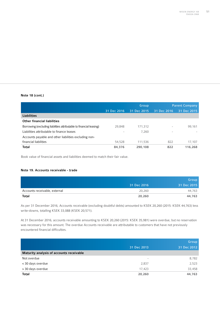## Note 18 (cont.)

|                                                                     |                          | <b>Group</b> |                          | <b>Parent Company</b> |
|---------------------------------------------------------------------|--------------------------|--------------|--------------------------|-----------------------|
|                                                                     | 31 Dec 2016              | 31 Dec 2015  | 31 Dec 2016              | 31 Dec 2015           |
| <b>Liabilities</b>                                                  |                          |              |                          |                       |
| <b>Other financial liabilities</b>                                  |                          |              |                          |                       |
| Borrowing (excluding liabilities attributable to financial leasing) | 29.848                   | 171.312      |                          | 99.161                |
| Liabilities attributable to finance leases                          | $\overline{\phantom{a}}$ | 7.260        | $\overline{\phantom{a}}$ |                       |
| Accounts payable and other liabilities excluding non-               |                          |              |                          |                       |
| financial liabilities                                               | 54,528                   | 111,536      | 822                      | 17,107                |
| <b>Total</b>                                                        | 84,376                   | 290,108      | 822                      | 116.268               |

Book value of financial assets and liabilities deemed to match their fair value.

## Note 19. Accounts receivable - trade

|                               |             | Group       |
|-------------------------------|-------------|-------------|
|                               | 31 Dec 2016 | 31 Dec 2015 |
| Accounts receivable, external | 20,260      | 44.763      |
| <b>Total</b>                  | 20,260      | 44,763      |

As per 31 December 2016, Accounts receivable (excluding doubtful debts) amounted to KSEK 20,260 (2015: KSEK 44,763) less write-downs, totalling KSEK 33,088 (KSEK 20,571).

At 31 December 2016, accounts receivable amounting to KSEK 20,260 (2015: KSEK 35,981) were overdue, but no reservation was necessary for this amount. The overdue Accounts receivable are attributable to customers that have not previously encountered financial difficulties.

|                                          | 31 Dec 2013              | Group<br>31 Dec 2012 |
|------------------------------------------|--------------------------|----------------------|
| Maturity analysis of accounts receivable |                          |                      |
| Not overdue                              | $\overline{\phantom{a}}$ | 8,782                |
| < 30 days overdue                        | 2,837                    | 2,523                |
| > 30 days overdue                        | 17,423                   | 33,458               |
| <b>Total</b>                             | 20,260                   | 44,763               |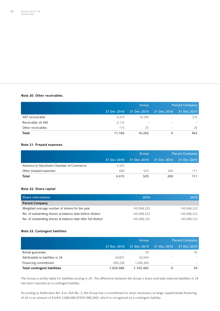## Note 20. Other receivables

|                   |             | Group                    |                          | <b>Parent Company</b>    |
|-------------------|-------------|--------------------------|--------------------------|--------------------------|
|                   | 31 Dec 2016 | 31 Dec 2015              | 31 Dec 2016              | 31 Dec 2015              |
| VAT recoverable   | 9,479       | 10.240                   | $\overline{\phantom{a}}$ | 376                      |
| Receivable JA 493 | 2,172       | $\overline{\phantom{a}}$ | $\overline{\phantom{a}}$ | $\overline{\phantom{a}}$ |
| Other receivables | 115         | 25                       | $\overline{\phantom{a}}$ | 26                       |
| <b>Total</b>      | 11.766      | 10.265                   |                          | 402                      |

## Note 21. Prepaid expenses

|                                          |             | Group                   |                          | <b>Parent Company</b> |
|------------------------------------------|-------------|-------------------------|--------------------------|-----------------------|
|                                          | 31 Dec 2016 | 31 Dec 2015 31 Dec 2016 |                          | 31 Dec 2015           |
| Advance to Stockholm Chamber of Commerce | 3,355       | $\equiv$                | $\overline{\phantom{a}}$ |                       |
| Other prepaid expenses                   | 660         | 525                     | 269                      |                       |
| Total                                    | 4,015       | 525                     | 269                      |                       |

## Note 22. Share capital

| Share information                                             | 2016        | 2015        |
|---------------------------------------------------------------|-------------|-------------|
| <b>Parent Company</b>                                         |             |             |
| Weighted average number of shares for the year                | 145,068,222 | 145,068,222 |
| No. of outstanding shares at balance date before dilution     | 145,068,222 | 145,068,222 |
| No. of outstanding shares at balance date after full dilution | 145,068,222 | 145,068,222 |

## Note 23. Contingent liabilities

|                                     |                          | Group       |                          | <b>Parent Company</b> |
|-------------------------------------|--------------------------|-------------|--------------------------|-----------------------|
|                                     | 31 Dec 2016              | 31 Dec 2015 | 31 Dec 2016              | 31 Dec 2015           |
| Rental guarantee                    | $\overline{\phantom{a}}$ | 39          | $\overline{\phantom{a}}$ | 39                    |
| Attributable to liabilities in JA   | 29.837                   | 62.044      | $\overline{\phantom{a}}$ |                       |
| Financing commitment                | 990.249                  | 1.040.400   | $\overline{\phantom{a}}$ |                       |
| <b>Total contingent liabilities</b> | 1,020,086                | 1,102,483   |                          | 39                    |

The Group is jointly liable for liabilities arising in JA. The difference between the Group's share and total external liabilities in JA has been reported as a contingent liability.

According to Addendum No. 6 to JAA No. 3, the Group has a commitment to when necessary arrange supplemental financing of JA in an amount of KUAH 3,000,000 (KSEK 990,249), which is recognised as a contingent liability.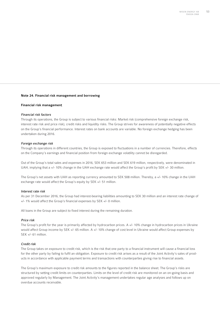## Note 24. Financial risk management and borrowing

#### Financial risk management

## Financial risk factors

Through its operations, the Group is subject to various financial risks: Market risk (comprehensive foreign exchange risk, interest rate risk and price risk), credit risks and liquidity risks. The Group strives for awareness of potentially negative effects on the Group's financial performance. Interest rates on bank accounts are variable. No foreign exchange hedging has been undertaken during 2016.

#### Foreign exchange risk

Through its operations in different countries, the Group is exposed to fluctuations in a number of currencies. Therefore, effects on the Company's earnings and financial position from foreign exchange volatility cannot be disregarded.

Out of the Group's total sales and expenses in 2016, SEK 653 million and SEK 619 million, respectively, were denominated in UAH, implying that a +/- 10% change in the UAH exchange rate would affect the Group's profit by SEK +/- 30 million.

The Group's net assets with UAH as reporting currency amounted to SEK 508 million. Thereby, a +/- 10% change in the UAH exchange rate would affect the Group's equity by SEK +/- 51 million.

#### Interest rate risk

As per 31 December 2016, the Group had interest-bearing liabilities amounting to SEK 30 million and an interest rate change of +/- 1% would affect the Group's financial expenses by SEK +/- 0 million.

All loans in the Group are subject to fixed interest during the remaining duration.

## Price risk

The Group's profit for the year is primarily affected by hydrocarbon prices. A +/- 10% change in hydrocarbon prices in Ukraine would affect Group income by SEK +/- 65 million. A +/- 10% change of cost level in Ukraine would affect Group expenses by SEK +/- 61 million.

#### Credit risk

The Group takes on exposure to credit risk, which is the risk that one party to a financial instrument will cause a financial loss for the other party by failing to fulfil an obligation. Exposure to credit risk arises as a result of the Joint Activity's sales of products in accordance with applicable payment terms and transactions with counterparties giving rise to financial assets.

The Group's maximum exposure to credit risk amounts to the figures reported in the balance sheet. The Group's risks are structured by setting credit limits on counterparties. Limits on the level of credit risk are monitored on an on-going basis and approved regularly by Management. The Joint Activity's management undertakes regular age analyses and follows up on overdue accounts receivable.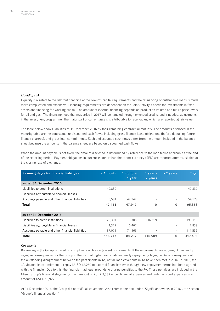## Liquidity risk

Liquidity risk refers to the risk that financing of the Group's capital requirements and the refinancing of outstanding loans is made more complicated and expensive. Financing requirements are dependent on the Joint Activity's needs for investments in fixed assets and financing for working capital. The amount of external financing depends on production volume and future price levels for oil and gas. The financing need that may arise in 2017 will be handled through extended credits, and if needed, adjustments in the investment programme. The major part of current assets is attributable to receivables, which are reported at fair value.

The table below shows liabilities at 31 December 2016 by their remaining contractual maturity. The amounts disclosed in the maturity table are the contractual undiscounted cash flows, including gross finance lease obligations (before deducting future finance charges), and gross loan commitments. Such undiscounted cash flows differ from the amount included in the balance sheet because the amounts in the balance sheet are based on discounted cash flows.

When the amount payable is not fixed, the amount disclosed is determined by reference to the loan terms applicable at the end of the reporting period. Payment obligations in currencies other than the report currency (SEK) are reported after translation at the closing rate of exchange.

| Payment dates for financial liabilities          | $< 1$ month | 1 month $-$<br>1 year | 1 year $-$<br>2 years    | > 2 years                | <b>Total</b> |
|--------------------------------------------------|-------------|-----------------------|--------------------------|--------------------------|--------------|
| as per 31 December 2016                          |             |                       |                          |                          |              |
| Liabilities to credit institutions               | 40,830      | -                     | $\qquad \qquad -$        | -                        | 40,830       |
| Liabilities attributable to financial leases     |             |                       |                          |                          |              |
| Accounts payable and other financial liabilities | 6,581       | 47,947                | -                        | $\overline{\phantom{0}}$ | 54,528       |
| <b>Total</b>                                     | 47,411      | 47,947                | 0                        | 0                        | 95,358       |
|                                                  |             |                       |                          |                          |              |
| as per 31 December 2015                          |             |                       |                          |                          |              |
| Liabilities to credit institutions               | 78,304      | 3,305                 | 116,509                  | $\overline{\phantom{0}}$ | 198,118      |
| Liabilities attributable to financial leases     | 1.372       | 6,467                 |                          | $\overline{\phantom{m}}$ | 7.839        |
| Accounts payable and other financial liabilities | 37,071      | 74,465                | $\overline{\phantom{a}}$ | $\overline{\phantom{0}}$ | 111,536      |
| <b>Total</b>                                     | 116,747     | 84,237                | 116,509                  | 0                        | 317,493      |

#### Covenants

Borrowing in the Group is based on compliance with a certain set of covenants. If these covenants are not met, it can lead to negative consequences for the Group in the form of higher loan costs and early repayment obligation. As a consequence of the outstanding disagreement between the participants in JA, not all loan covenants in JA have been met in 2016. In 2015, the JA violated its commitment to repay KUSD 12,250 to external financiers even though new repayment terms had been agreed with the financier. Due to this, the financier had legal grounds to charge penalties to the JA. These penalties are included in the Misen Group's financial statements in an amount of KSEK 2,382 under financial expenses and under accrued expenses in an amount of KSEK 10,922.

At 31 December 2016, the Group did not fulfil all covenants. Also refer to the text under "Significant events in 2016", the section "Group's financial position".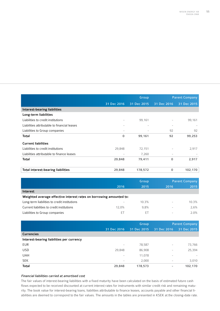|                                              |             | Group                    |                   | <b>Parent Company</b> |
|----------------------------------------------|-------------|--------------------------|-------------------|-----------------------|
|                                              | 31 Dec 2016 | 31 Dec 2015              | 31 Dec 2016       | 31 Dec 2015           |
| Interest-bearing liabilities                 |             |                          |                   |                       |
| Long-term liabilities                        |             |                          |                   |                       |
| Liabilities to credit institutions           |             | 99,161                   |                   | 99,161                |
| Liabilities attributable to financial leases |             | $\overline{\phantom{a}}$ | $\qquad \qquad -$ |                       |
| Liabilities to Group companies               |             | $\qquad \qquad =$        | 92                | 92                    |
| Total                                        | 0           | 99,161                   | 92                | 99,253                |
| <b>Current liabilities</b>                   |             |                          |                   |                       |
| Liabilities to credit institutions           | 29,848      | 72,151                   |                   | 2,917                 |
| Liabilities attributable to finance leases   |             | 7,260                    | $\qquad \qquad -$ |                       |
| Total                                        | 29,848      | 79,411                   | $\mathbf{0}$      | 2,917                 |
| <b>Total interest-bearing liabilities</b>    | 29,848      | 178,572                  | 0                 | 102,170               |

|                                                                     |          | Group |                          | <b>Parent Company</b> |
|---------------------------------------------------------------------|----------|-------|--------------------------|-----------------------|
|                                                                     | 2016     | 2015  | 2016                     | 2015                  |
| Interest                                                            |          |       |                          |                       |
| Weighted average effective interest rates on borrowing amounted to: |          |       |                          |                       |
| Long-term liabilities to credit institutions                        | $\equiv$ | 10.3% | $\overline{\phantom{a}}$ | 10.3%                 |
| Current liabilities to credit institutions                          | 12.0%    | 9.8%  | -                        | 2.6%                  |
| Liabilities to Group companies                                      | E1       | E.    | -                        | 2.0%                  |

|                                           |                          | Group       |                          | <b>Parent Company</b> |
|-------------------------------------------|--------------------------|-------------|--------------------------|-----------------------|
|                                           | 31 Dec 2016              | 31 Dec 2015 | 31 Dec 2016              | 31 Dec 2015           |
| <b>Currencies</b>                         |                          |             |                          |                       |
| Interest-bearing liabilities per currency |                          |             |                          |                       |
| EUR                                       | $\equiv$                 | 78,587      | $\qquad \qquad -$        | 73,766                |
| <b>USD</b>                                | 29,848                   | 86,908      | $\qquad \qquad -$        | 25,394                |
| <b>UAH</b>                                | $\qquad \qquad =$        | 11,078      | $\overline{\phantom{m}}$ |                       |
| <b>SEK</b>                                | $\overline{\phantom{a}}$ | 2,000       | ۰                        | 3,010                 |
| <b>Total</b>                              | 29,848                   | 178,573     | -                        | 102,170               |

## Financial liabilities carried at amortised cost

The fair values of interest-bearing liabilities with a fixed maturity have been calculated on the basis of estimated future cash flows expected to be received discounted at current interest rates for instruments with similar credit risk and remaining maturity. The book value for interest-bearing loans, liabilities attributable to finance leases, accounts payable and other financial liabilities are deemed to correspond to the fair values. The amounts in the tables are presented in KSEK at the closing-date rate.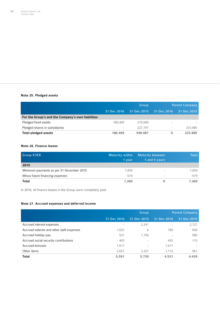## Note 25. Pledged assets

|                                                   |             | Group       |                          | <b>Parent Company</b> |
|---------------------------------------------------|-------------|-------------|--------------------------|-----------------------|
|                                                   | 31 Dec 2016 | 31 Dec 2015 | 31 Dec 2016              | 31 Dec 2015           |
| For the Group's and the Company's own liabilities |             |             |                          |                       |
| Pledged fixed assets                              | 186,469     | 210.690     | $\overline{\phantom{a}}$ |                       |
| Pledged shares in subsidiaries                    | -           | 227.797     | -                        | 233,985               |
| Total pledged assets                              | 186.469     | 438.487     |                          | 233.985               |

## Note 26. Finance leases

| <b>Group KSEK</b>                        | Maturity within<br>1 year | <b>Maturity between</b><br>1 and 5 years | <b>Total</b> |
|------------------------------------------|---------------------------|------------------------------------------|--------------|
| 2015                                     |                           |                                          |              |
| Minimum payments as per 31 December 2015 | 7.839                     | -                                        | 7,839        |
| Minus future financing expenses          | $-579$                    | $\overline{\phantom{a}}$                 | $-579$       |
| Total                                    | 7,260                     | 0                                        | 7.260        |

In 2016, all finance leases in the Group were completely paid.

## Note 27. Accrued expenses and deferred income

|                                           |             | Group             |             | <b>Parent Company</b> |
|-------------------------------------------|-------------|-------------------|-------------|-----------------------|
|                                           | 31 Dec 2016 | 31 Dec 2015       | 31 Dec 2016 | 31 Dec 2015           |
| Accrued interest expenses                 |             | 2,341             |             | 2,127                 |
| Accrued salaries and other staff expenses | 1.023       | 6                 | 789         | 640                   |
| Accrued holiday pay                       | 521         | 1,156             | -           | 580                   |
| Accrued social security contributions     | 403         |                   | 403         | 115                   |
| Accrued bonuses                           | 1,617       | $\qquad \qquad =$ | 1,617       |                       |
| Other items                               | 2,027       | 2.227             | 1.712       | 967                   |
| <b>Total</b>                              | 5,591       | 5,730             | 4,521       | 4,429                 |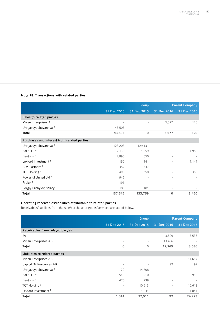## Note 28. Transactions with related parties

|                                             |             | Group                    |                          | <b>Parent Company</b> |
|---------------------------------------------|-------------|--------------------------|--------------------------|-----------------------|
|                                             | 31 Dec 2016 | 31 Dec 2015              | 31 Dec 2016              | 31 Dec 2015           |
| Sales to related parties                    |             |                          |                          |                       |
| Misen Enterprises AB                        |             |                          | 5,577                    | 120                   |
| Ukrgasvydobuvannya <sup>2</sup>             | 43,503      | -                        |                          |                       |
| <b>Total</b>                                | 43,503      | 0                        | 5,577                    | 120                   |
| Purchases and interest from related parties |             |                          |                          |                       |
| Ukrgazvydobuvannya <sup>2</sup>             | 128,208     | 129,131                  |                          |                       |
| Balit LLC <sup>4</sup>                      | 2,130       | 1,959                    |                          | 1,959                 |
| Dentons <sup>1</sup>                        | 4,890       | 650                      |                          |                       |
| Lexford Investment <sup>1</sup>             | 150         | 1,141                    |                          | 1,141                 |
| AIM Partners <sup>1</sup>                   | 352         | 347                      |                          |                       |
| TCT Holding <sup>5</sup>                    | 490         | 350                      |                          | 350                   |
| Powerful United Ltd <sup>5</sup>            | 946         |                          | $\overline{\phantom{a}}$ |                       |
| Prolux <sup>5</sup>                         | 196         | $\overline{\phantom{a}}$ | $\overline{\phantom{a}}$ |                       |
| Sergiy Probylov, salary <sup>3</sup>        | 183         | 181                      |                          |                       |
| <b>Total</b>                                | 137,545     | 133,759                  | 0                        | 3,450                 |

## Operating receivables/liabilities attributable to related parties

Receivables/liabilities from the sale/purchase of goods/services are stated below.

|                                  |                          | Group                    |                          | <b>Parent Company</b> |
|----------------------------------|--------------------------|--------------------------|--------------------------|-----------------------|
|                                  | 31 Dec 2016              | 31 Dec 2015              | 31 Dec 2016              | 31 Dec 2015           |
| Receivables from related parties |                          |                          |                          |                       |
| JA                               | $\overline{\phantom{0}}$ | $\qquad \qquad =$        | 3,809                    | 3,536                 |
| Misen Enterprises AB             | $\overline{\phantom{a}}$ | $\overline{\phantom{a}}$ | 13,456                   |                       |
| Total                            | 0                        | $\mathbf 0$              | 17,265                   | 3,536                 |
| Liabilities to related parties   |                          |                          |                          |                       |
| Misen Enterprises AB             | $\qquad \qquad =$        | -                        |                          | 11,617                |
| Capital Oil Resources AB         | $\qquad \qquad =$        | $\qquad \qquad =$        | 92                       | 92                    |
| Ukrgazvydobuvannya <sup>2</sup>  | 72                       | 14,708                   |                          |                       |
| Balit LLC <sup>4</sup>           | 549                      | 910                      |                          | 910                   |
| Dentons <sup>1</sup>             | 420                      | 239                      | $\overline{\phantom{a}}$ |                       |
| TCT Holding <sup>5</sup>         | $\overline{\phantom{a}}$ | 10,613                   | $\overline{\phantom{a}}$ | 10,613                |
| Lexford Investment <sup>1</sup>  | $\overline{\phantom{a}}$ | 1,041                    |                          | 1,041                 |
| Total                            | 1,041                    | 27,511                   | 92                       | 24,273                |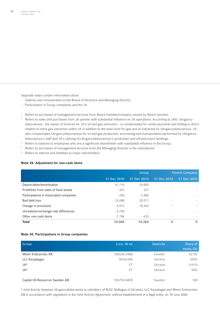Separate notes contain information about

- Salaries and remuneration to the Board of Directors and Managing Director
- Participation in Group companies and the JA
- <sup>1</sup> Refers to purchases of management services from Board member/company owned by Board member.
- <sup>2</sup> Refers to sales and purchases from JA partner with substantial influence on JA operations. According to JAA, Ukrgazvydobuvannya - the owner of licences for JA's oil and gas extraction - is compensated for rental payments and drilling in direct relation to extra gas extraction within JA in addition to the base level for gas and oil extracted by Ukrgazvydobuvannya. JA also compensates Ukrgazvydobuvannya for oil and gas production, processing and transportation performed by Ukrgasvydobuvannya's staff and JA's utilizing of Ukrgasvydobuvannya's production and infrastructure buildings.
- <sup>3</sup> Refers to salaries to employees who are a significant shareholder with substantial influence in the Group.
- <sup>4</sup> Refers to purchases of management services from the Managing Director in the subsidiaries
- <sup>5</sup> Refers to interest and liabilities to major shareholders

#### Note 29. Adjustment for non-cash items

|                                        |             | Group       | <b>Parent Company</b> |                          |
|----------------------------------------|-------------|-------------|-----------------------|--------------------------|
|                                        | 31 Dec 2016 | 31 Dec 2015 | 31 Dec 2016           | 31 Dec 2015              |
| Depreciation/amortisation              | 41.734      | 34,845      |                       |                          |
| Profit/loss from sales of fixed assets | 207         | 327         |                       |                          |
| Participations in Associated companies | $-350$      | $-3,486$    |                       |                          |
| Bad debt loss                          | 33,088      | 20,571      |                       | -                        |
| Change in provisions                   | 6.973       | 18.442      |                       |                          |
| Unrealised exchange-rate differences   | $-3,790$    |             |                       | $\overline{\phantom{a}}$ |
| Other non-cash items                   | $-7.796$    | $-435$      |                       |                          |
| <b>Total</b>                           | 70.066      | 70.264      | $\Omega$              | $\Omega$                 |

#### Note 30. Participations in Group companies

| Group                           | Corp. ID no | <b>Domicile</b> | Share of<br>equity (%) |
|---------------------------------|-------------|-----------------|------------------------|
| Misen Enterprises AB            | 556526-3968 | Sweden          | 62.5%                  |
| LLC Karpatygaz                  | 30162340    | Ukraine         | 100%                   |
| JA*                             | ET          | Ukraine         | 0.01%                  |
| JA*                             | ET          | <b>Ukraine</b>  | 50%                    |
|                                 |             |                 |                        |
| Capital Oil Resources Sweden AB | 556754-4878 | Sweden          | 100                    |

\* Joint Activity between Ukrgazvydobuvannia (a subsidiary of NJSC Naftogaz of Ukraine), LLC Karpatygaz and Misen Enterprises AB in accordance with regulations in the Joint Activity Agreement, without establishment of a legal entity, on 10 June 2002.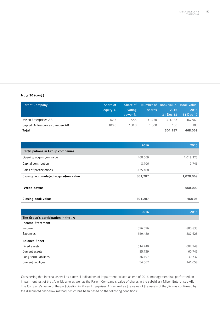## Note 30 (cont.)

| <b>Parent Company</b>           | Share of<br>equity % | 'Share of<br>voting<br>power % | shares | 2016<br>31 Dec 13 | Number of Book value, Book value,<br>2015<br>31 Dec 12 |
|---------------------------------|----------------------|--------------------------------|--------|-------------------|--------------------------------------------------------|
| Misen Enterprises AB            | 62.5                 | 62.5                           | 31.250 | 301.187           | 467.969                                                |
| Capital Oil Resources Sweden AB | 100.0                | 100.0                          | 1.000  | 100               | 100                                                    |
| <b>Total</b>                    |                      |                                |        | 301.287           | 468.069                                                |

|                                       | 2016       | 2015       |
|---------------------------------------|------------|------------|
| Participations in Group companies     |            |            |
| Opening acquisition value             | 468,069    | 1,018,323  |
| Capital contribution                  | 8,706      | 9,746      |
| Sales of participations               | $-175,488$ |            |
| Closing accumulated acquisition value | 301,287    | 1,028,069  |
|                                       |            |            |
| -Write-downs                          | -          | $-560,000$ |
|                                       |            |            |
| Closing book value                    | 301,287    | 468,06     |

|                                     | 2016    | 2015    |
|-------------------------------------|---------|---------|
| The Group's participation in the JA |         |         |
| <b>Income Statement</b>             |         |         |
| Income                              | 596,096 | 880,833 |
| Expenses                            | 559,480 | 887,628 |
| <b>Balance Sheet</b>                |         |         |
| Fixed assets                        | 514,740 | 602,748 |
| Current assets                      | 85,739  | 60,745  |
| Long-term liabilities               | 36,197  | 30,737  |
| <b>Current liabilities</b>          | 54,562  | 141,058 |

Considering that internal as well as external indications of impairment existed as end of 2016, management has performed an impairment test of the JA in Ukraine as well as the Parent Company's value of shares in the subsidiary Misen Enterprises AB. The Company's value of the participation in Misen Enterprises AB as well as the value of the assets of the JA was confirmed by the discounted cash-flow method, which has been based on the following conditions: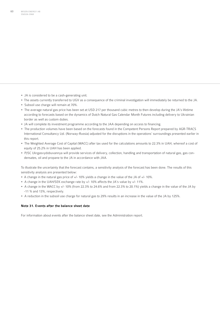- JA is considered to be a cash-generating unit.
- The assets currently transferred to UGV as a consequence of the criminal investigation will immediately be returned to the JA.
- Subsoil use charge will remain at 70%.
- The average natural gas price has been set at USD 217 per thousand cubic metres to then develop during the JA's lifetime according to forecasts based on the dynamics of Dutch Natural Gas Calendar Month Futures including delivery to Ukrainian border as well as custom duties.
- JA will complete its investment programme according to the JAA depending on access to financing.
- The production volumes have been based on the forecasts found in the Competent Persons Report prepared by AGR-TRACS International Consultancy Ltd. (Norway-Russia) adjusted for the disruptions in the operations' surroundings presented earlier in this report.
- The Weighted Average Cost of Capital (WACC) after tax used for the calculations amounts to 22.3% in UAH, whereof a cost of equity of 25.2% in UAH has been applied.
- PJSC Ukrgasvydobuvannya will provide services of delivery, collection, handling and transportation of natural gas, gas condensates, oil and propane to the JA in accordance with JAA.

To illustrate the uncertainty that the forecast contains, a sensitivity analysis of the forecast has been done. The results of this sensitivity analysis are presented below:

- A change in the natural gas price of +/- 10% yields a change in the value of the JA of +/- 10%.
- A change in the UAH/SEK exchange rate by +/- 10% affects the JA's value by +/- 11%.
- A change in the WACC by +/- 10% (from 22.3% to 24.6% and from 22.3% to 20.1%) yields a change in the value of the JA by -11 % and 13%, respectively.
- A reduction in the subsoil use charge for natural gas to 29% results in an increase in the value of the JA by 125%.

## Note 31. Events after the balance sheet date

For information about events after the balance sheet date, see the Administration report.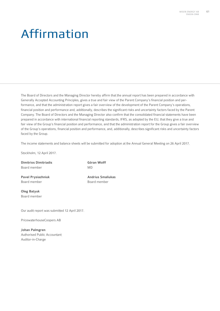# Affirmation

The Board of Directors and the Managing Director hereby affirm that the annual report has been prepared in accordance with Generally Accepted Accounting Principles, gives a true and fair view of the Parent Company's financial position and performance, and that the administration report gives a fair overview of the development of the Parent Company's operations, financial position and performance and, additionally, describes the significant risks and uncertainty factors faced by the Parent Company. The Board of Directors and the Managing Director also confirm that the consolidated financial statements have been prepared in accordance with international financial reporting standards, IFRS, as adopted by the EU, that they give a true and fair view of the Group's financial position and performance, and that the administration report for the Group gives a fair overview of the Group's operations, financial position and performance, and, additionally, describes significant risks and uncertainty factors faced by the Group.

The income statements and balance sheets will be submitted for adoption at the Annual General Meeting on 26 April 2017.

Stockholm, 12 April 2017.

Dimitrios Dimitriadis Göran Wolff Board member MD

Pavel Prysiazhniuk **Andrius Smaliukas** Board member Board member

Oleg Batyuk Board member

Our audit report was submitted 12 April 2017.

PricewaterhouseCoopers AB

Johan Palmgren Authorised Public Accountant Auditor-in-Charge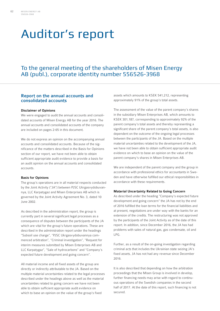# Auditor's report

## To the general meeting of the shareholders of Misen Energy AB (publ.), corporate identity number 556526-3968

## Report on the annual accounts and consolidated accounts

## Disclaimer of Opinions

We were engaged to audit the annual accounts and consolidated accounts of Misen Energy AB for the year 2016. The annual accounts and consolidated accounts of the company are included on pages 2-65 in this document.

We do not express an opinion on the accompanying annual accounts and consolidated accounts. Because of the significance of the matters described in the Basis for Opinions section of our report, we have not been able to obtain sufficient appropriate audit evidence to provide a basis for an audit opinion on the annual accounts and consolidated accounts.

#### Basis for Opinions

The group's operations are in all material respects conducted by the Joint Activity ("JA") between PJSC Ukrgasvydobuvannya, LLC Karpatygaz and Misen Enterprises AB which is governed by the Joint Activity Agreement No. 3, dated 10 June 2002.

As described in the administration report, the group is currently part in several significant legal processes as a consequence of disputes between the participants of the JA which are vital for the group's future operations. These are described in the administration report under the headings "Subsoil use charge", "PJSC Ukrgasvydobuvannya commenced arbitration", "Criminal investigation", "Request for interim measures submitted by Misen Enterprises AB and LLC Karpatygaz", "Sale of hydrocarbons" and "Company's expected future development and going concern".

All material income and all fixed assets of the group are directly or indirectly attributable to the JA. Based on the multiple material uncertainties related to the legal processes described under the headings above as well as the material uncertainties related to going concern we have not been able to obtain sufficient appropriate audit evidence on which to base an opinion on the value of the group's fixed

assets which amounts to KSEK 541,212, representing approximately 91% of the group's total assets.

The assessment of the value of the parent company's shares in the subsidiary Misen Enterprises AB, which amounts to KSEK 301,187, corresponding to approximately 92% of the parent company's total assets and thereby representing a significant share of the parent company's total assets, is also dependent on the outcome of the ongoing legal processes between the participants of the JA. Based on the multiple material uncertainties related to the development of the JA, we have not been able to obtain sufficient appropriate audit evidence on which to base an opinion on the value of the parent company's shares in Misen Enterprises AB.

We are independent of the parent company and the group in accordance with professional ethics for accountants in Sweden and have otherwise fulfilled our ethical responsibilities in accordance with these requirements.

## Material Uncertainty Related to Going Concern

As described under the heading "Company's expected future development and going concern" the JA has not by the end of 2016 fulfilled the loan terms for the financial liabilities and at present, negotiations are under way with the banks for an extension of the credits. The restructuring was not approved by the participants of the Joint Activity as of the date of this report. In addition, since December 2016, the JA has had problems with sales of natural gas, gas condensate, oil and LPG.

Further, as a result of the on-going investigation regarding criminal acts that includes the Ukrainian state seizing JA's fixed assets, JA has not had any revenue since December 2016.

It is also described that depending on how the arbitration proceedings that the Misen Group is involved in develop, further financing needs may arise with regard to continuous operations of the Swedish companies in the second half of 2017. At the date of this report, such financing is not secured.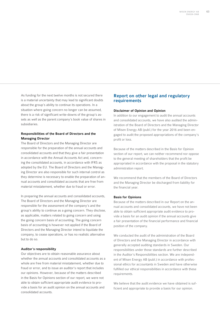As funding for the next twelve months is not secured there is a material uncertainty that may lead to significant doubts about the group's ability to continue its operations. In a situation where going concern no longer can be assumed, there is a risk of significant write-downs of the group's assets as well as the parent company's book value of shares in subsidiaries.

## Responsibilities of the Board of Directors and the Managing Director

The Board of Directors and the Managing Director are responsible for the preparation of the annual accounts and consolidated accounts and that they give a fair presentation in accordance with the Annual Accounts Act and, concerning the consolidated accounts, in accordance with IFRS as adopted by the EU. The Board of Directors and the Managing Director are also responsible for such internal control as they determine is necessary to enable the preparation of annual accounts and consolidated accounts that are free from material misstatement, whether due to fraud or error.

In preparing the annual accounts and consolidated accounts, The Board of Directors and the Managing Director are responsible for the assessment of the company's and the group's ability to continue as a going concern. They disclose, as applicable, matters related to going concern and using the going concern basis of accounting. The going concern basis of accounting is however not applied if the Board of Directors and the Managing Director intend to liquidate the company, to cease operations, or has no realistic alternative but to do so.

## Auditor's responsibility

Our objectives are to obtain reasonable assurance about whether the annual accounts and consolidated accounts as a whole are free from material misstatement, whether due to fraud or error, and to issue an auditor's report that includes our opinions. However, because of the matters described in the Basis for Opinions section of our report, we were not able to obtain sufficient appropriate audit evidence to provide a basis for an audit opinion on the annual accounts and consolidated accounts.

## Report on other legal and regulatory requirements

#### Disclaimer of Opinion and Opinion

In addition to our engagement to audit the annual accounts and consolidated accounts, we have also audited the administration of the Board of Directors and the Managing Director of Misen Energy AB (publ.) for the year 2016 and been engaged to audit the proposed appropriations of the company's profit or loss.

Because of the matters described in the Basis for Opinion section of our report, we can neither recommend nor oppose to the general meeting of shareholders that the profit be appropriated in accordance with the proposal in the statutory administration report.

We recommend that the members of the Board of Directors and the Managing Director be discharged from liability for the financial year.

## Basis for Opinions

Because of the matters described in our Report on the annual accounts and consolidated accounts, we have not been able to obtain sufficient appropriate audit evidence to provide a basis for an audit opinion if the annual accounts give a fair presentation of the financial performance and financial position of the company.

We conducted the audit of the administration of the Board of Directors and the Managing Director in accordance with generally accepted auditing standards in Sweden. Our responsibilities under those standards are further described in the Auditor's Responsibilities section. We are independent of Misen Energy AB (publ.) in accordance with professional ethics for accountants in Sweden and have otherwise fulfilled our ethical responsibilities in accordance with these requirements.

We believe that the audit evidence we have obtained is sufficient and appropriate to provide a basis for our opinion.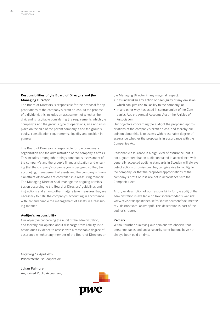## Responsibilities of the Board of Directors and the Managing Director

The Board of Directors is responsible for the proposal for appropriations of the company's profit or loss. At the proposal of a dividend, this includes an assessment of whether the dividend is justifiable considering the requirements which the company's and the group's type of operations, size and risks place on the size of the parent company's and the group's equity, consolidation requirements, liquidity and position in general.

The Board of Directors is responsible for the company's organization and the administration of the company's affairs. This includes among other things continuous assessment of the company's and the group's financial situation and ensuring that the company's organization is designed so that the accounting, management of assets and the company's financial affairs otherwise are controlled in a reassuring manner. The Managing Director shall manage the ongoing administration according to the Board of Directors' guidelines and instructions and among other matters take measures that are necessary to fulfill the company's accounting in accordance with law and handle the management of assets in a reassuring manner.

## Auditor's responsibility

Our objective concerning the audit of the administration, and thereby our opinion about discharge from liability, is to obtain audit evidence to assess with a reasonable degree of assurance whether any member of the Board of Directors or the Managing Director in any material respect:

- has undertaken any action or been guilty of any omission which can give rise to liability to the company, or
- in any other way has acted in contravention of the Companies Act, the Annual Accounts Act or the Articles of Association.

Our objective concerning the audit of the proposed appropriations of the company's profit or loss, and thereby our opinion about this, is to assess with reasonable degree of assurance whether the proposal is in accordance with the Companies Act.

Reasonable assurance is a high level of assurance, but is not a guarantee that an audit conducted in accordance with generally accepted auditing standards in Sweden will always detect actions or omissions that can give rise to liability to the company, or that the proposed appropriations of the company's profit or loss are not in accordance with the Companies Act.

A further description of our responsibility for the audit of the administration is available on Revisorsnämnden's website: www.revisorsinspektionen.se/rn/showdocument/documents/ rev\_dok/revisors\_ansvar.pdf. This description is part of the auditor´s report.

## Remark

Without further qualifying our opinions we observe that personnel taxes and social security contributions have not always been paid on time.

Göteborg 12 April 2017 PricewaterhouseCoopers AB

Johan Palmgren Authorized Public Accountant

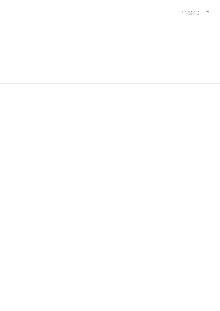MISEN ENERGY AB 65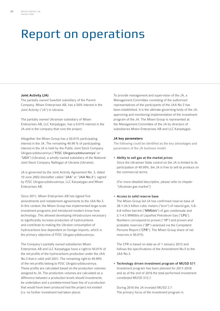## Report on operations

## Joint Activity (JA)

The partially owned Swedish subsidiary of the Parent Company, Misen Enterprises AB, has a 50% interest in the Joint Activity ("JA") in Ukraine.

The partially owned Ukrainian subsidiary of Misen Enterprises AB, LLC Karpatygaz, has a 0.01% interest in the JA and is the company that runs the project.

Altogether the Misen Group has a 50.01% participating interest in the JA. The remaining 49.99 % of participating interest in the JA is held by the Public Joint Stock Company Ukrgasvydobuvannya ("PJSC Ukrgasvydobuvannya" or "UGV") (Ukraine), a wholly owned subsidiary of the National Joint Stock Company Naftogaz of Ukraine (Ukraine).

JA is governed by the Joint Activity Agreement No. 3, dated 10 June 2002 (hereafter called "JAA" or "JAA No.3"), signed by PJSC Ukrgasvydobuvannya, LLC Karpatygaz and Misen Enterprises AB.

Since 2011, Misen Enterprises AB has signed five amendments and restatement agreements to the JAA No.3. In this context, the Misen Group has implemented large-scale investment programs and introduced modern know-how technology. This allowed developing infrastructure necessary to significantly increase production of hydrocarbons and contribute to making the Ukraine consumption of hydrocarbons less dependent on foreign imports, which is the primary objective of PJSC Ukrgasvydobuvannya.

The Company's partially owned subsidiaries Misen Enterprises AB and LLC Karpatygaz have a right to 50.01% of the net profits of the hydrocarbons production under the JAA No.3 that is valid until 2031. The remaining right to 49.99% of the net profits belong to PJSC Ukrgasvydobuvannya. These profits are calculated based on the production volumes assigned to JA. The production volumes are calculated as a difference between a production levels should investments be undertaken and a predetermined base line of a production that would have been produced had the project not existed (i.e. no further investment had taken place).

To provide management and supervision of the JA, a Management Committee consisting of the authorized representatives of the participants of the JAA No.3 has been established. It is the ultimate governing body of the JA, approving and monitoring implementation of the investment program of the JA. The Misen Group is represented at the Management Committee of the JA by directors of subsidiaries Misen Enterprises AB and LLC Karpatygaz.

## JA key parameters

The following could be identified as the key advantages and parameters of the JA business model:

## • Ability to sell gas at the market prices

Since the Ukrainian State control on the JA is limited to its participation of 49.99%, the JA is free to sell its produce on the commercial terms.

(For more detailed description, please refer to chapter "Ukrainian gas market").

## • Access to solid reserve base

The Misen Group led JA has confirmed reserve base of 28.1-34.3 billion cubic meters ("bcm") of natural gas, 5.8- 6.8 million barrels ("MMbbls") of gas condensate and 3.1-4.5 MMbbls of Liquefied Petroleum Gas ("LPG"). Numbers correspond to proven ("1P") and proven and probable reserves ("2P") assessed via the Competent Persons Report ("CPR"). The Misen Group share of net reserves is 50.01%.

The CPR is based on data as of 1 January 2013 and follows the specifications of the Amendment No.5 to the JAA No.3.

• Technology driven investment program of MUSD 571 Investment program has been planned for 2011-2018 and as of the end of 2016 the total performed investment constituted MUSD 372,7.

During 2016 the JA invested MUSD 2.7. The primary focus of the investment program is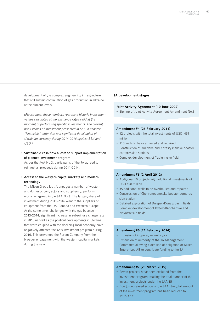development of the complex engineering infrastructure that will sustain continuation of gas production in Ukraine at the current levels.

(Please note, these numbers represent historic investment values calculated at the exchange rates valid at the moment of performing specific investments. The current book values of investment presented in SEK in chapter "Financials" differ due to a significant devaluation of Ukrainian currency during 2014-2016 against SEK and USD.)

• Sustainable cash flow allows to support implementation of planned investment program

As per the JAA No.3, participants of the JA agreed to reinvest all proceeds during 2011-2014.

• Access to the western capital markets and modern technology

The Misen Group led JA engages a number of western and domestic contractors and suppliers to perform works as agreed in the JAA No.3. The largest share of investment during 2011-2016 went to the suppliers of equipment from the US, Canada and Western Europe. At the same time, challenges with the gas balance in 2013-2014, significant increase in subsoil use charge rate in 2015 as well as the political developments in Ukraine that were coupled with the declining local economy have negatively affected the JA's investment program during 2016. This prevented the Parent Company from the broader engagement with the western capital markets during the year.

## JA development stages

## Joint Activity Agreement (10 June 2002)

• Signing of Joint Activity Agreement Amendment No.3

#### Amendment #4 (25 February 2011)

- 12 projects with the total investments of USD 451 million
- 110 wells to be overhauled and repaired
- Construction of Yuliivske and Khrestyshenske booster compression stations
- Complex development of Yablunivske field

## Amendment #5 (2 April 2012)

- Additional 10 projects with additional investments of USD 198 million
- 35 additional wells to be overhauled and repaired
- Construction of Chervonodonetske booster compression station
- Detailed exploration of Dnieper-Donets basin fields
- Complex development of Bytkiv-Babchenske and Novotroitske fields

#### Amendment #6 (21 February 2014)

- Exclusion of inoperative well stock
- Expansion of authority of the JA Management Committee allowing extension of obligation of Misen Enterprises AB to contribute funding to the JA

#### Amendment #7 (26 March 2015)

- Seven projects have been excluded from the investment program, making the total number of the investment projects under the JAA 15
- Due to decreased scope of the JAA, the total amount of the investment program has been reduced to MUSD 571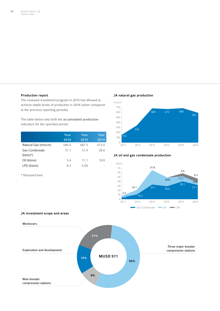## Production report

The renewed investment program in 2015 has allowed to achieve stable levels of production in 2016 (when compared to the previous reporting periods).

The table below sets forth the accumulated production indicators for the specified period:

|                       | Year  | Year  | Year  |
|-----------------------|-------|-------|-------|
|                       | 2016  | 2015  | 2014  |
| Natural Gas (mmcm)    | 596.6 | 687.5 | 672.0 |
| <b>Gas Condensate</b> | 31.1  | 31.9  | 28.6  |
| $(ktons*)$            |       |       |       |
| Oil (ktons)           | 5.4   | 11.1  | 18.8  |
| LPG (ktons)           | 8.3   | 6.06  |       |

\* thousand tons

## JA natural gas production







#### JA investment scope and areas

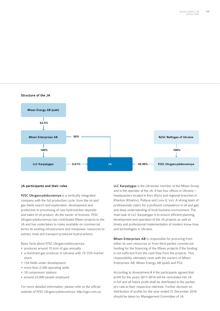## 62.5% Misen Energy AB (publ) 100% Misen Enterprises AB LLC Karpatygaz  $-$  0.01%  $\rightarrow$  JA 100% NJSC Naftogaz of Ukraine PJSC Ukrgasvydobuvannya 50% 49.99%

## Structure of the JA

## JA participants and their roles

PJSC Ukrgasvydobuvannya is a vertically integrated company with the full production cycle: from the oil and gas fields search and exploration, development and production to processing of raw hydrocarbon deposits and sales of oil product. As the owner of licenses, PJSC Ukrgasvydobuvannya has contributed fifteen projects to the JA and has undertaken to make available on commercial terms its existing infrastructure and manpower resources to extract, treat and transport produced hydrocarbons.

Basic facts about PJSC Ukrgasvydobuvannya:

- produces around 15 bcm of gas annually
- a dominant gas producer in Ukraine with 72-75% market share
- 134 fields under development
- more than 2,300 operating wells
- 10 compressor stations
- around 22,000 people employed

For more detailed information, please refer to the official website of PJSC Ukrgasvydobuvannya: http://ugv.com.ua LLC Karpatygaz is the Ukrainian member of the Misen Group and is the operator of the JA. It has four offices in Ukraine – headquarters located in Kiev (Kyiv) and regional branches in Kharkov (Kharkiv), Poltava and Lvov (L'viv). A strong team of professionals caters for a profound competence in oil and gas and deep understanding of local business environment. The main task of LLC Karpatygaz is to ensure efficient planning, development and operation of the JA projects as well as timely and professional implementation of modern know-how and technologies in Ukraine.

Misen Enterprises AB is responsible for procuring from either its own resources or from third parties commercial funding for the financing of the fifteen projects if the funding is not sufficient from the cash flow from the projects. This responsibility ultimately rests with the owners of Misen Enterprises AB, Misen Energy AB (publ) and PUL.

According to Amendment # 4 the participants agreed that profit for the years 2011-2014 will be reinvested into JA in full and all future profit shall be distributed to the parties pro rata to their respective interests. Further decision on distribution of profits for the year ended 31 December 2016 should be taken by Management Committee of JA.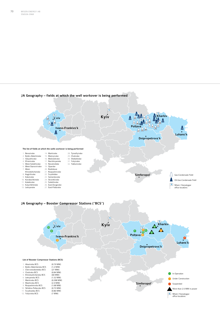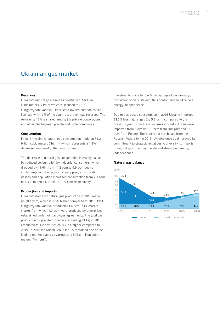## Ukrainian gas market

#### Reserves

Ukraine's natural gas reserves constitute 1.1 trillion cubic meters, 71% of which is licensed to PJSC Ukrgasvydobuvannya. Other state-owned companies are licensed with 17% of the country's proven gas reserves. The remaining 12% is shared among the private corporations and other JAs between private and State companies.

#### Consumption

In 2016 Ukraine's natural gas consumption made up 33.2 billion cubic meters ("bcm"), which represents a 1.8% decrease compared to the previous year.

The decrease in natural gas consumption is mainly caused by reduced consumption by industrial consumers, which dropped by 11.6% from 11.2 bcm to 9.9 bcm due to implementation of energy efficiency programs. Heating utilities and population increased consumption from 7.1 bcm to 7.3 bcm and 11.3 bcm to 11.9 bcm respectively.

#### Production and imports

Ukraine's domestic natural gas production in 2016 made up 20.1 bcm, which is 1.0% higher compared to 2015. PJSC Ukrgasvydobuvannya produced 14.6 bcm (73% market share), from which 1.0 bcm were produced by enterprises established under joint activities agreements. The total gas production by private producers (excluding JAAs) in 2016 amounted to 4.2 bcm, which is 7.7% higher compared to 2015. In 2016 the Misen Group led JA remained one of the leading market players by producing 596.6 million cubic meters ("mmcm").

Investments made by the Misen Group allows domestic production to be sustained, thus contributing to Ukraine's energy independence.

Due to decreased consumption in 2016 Ukraine imported 32.3% less natural gas (by 5.3 bcm) compared to the previous year. From these volumes around 9.1 bcm were imported from Slovakia, 1.0 bcm from Hungary and 1.0 bcm from Poland. There were no purchases from the Russian Federation in 2016. Ukraine once again proved its commitment to strategic initiatives to diversify its imports of natural gas on a major scale and strengthen energy independence.

#### Natural gas balance

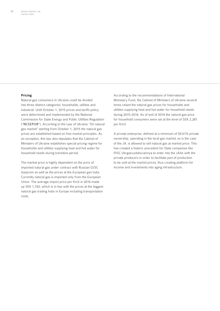## Pricing

Natural gas consumers in Ukraine could be divided into three distinct categories: households, utilities and industrial. Until October 1, 2015 prices and tariffs policy were determined and implemented by the National Commission for State Energy and Public Utilities Regulation ("NCSEPUR"). According to the Law of Ukraine "On natural gas market" starting from October 1, 2015 the natural gas prices are established based on free market principles. As an exception, this law also stipulates that the Cabinet of Ministers of Ukraine establishes special pricing regime for households and utilities supplying heat and hot water for household needs during transition period.

The market price is highly dependent on the price of imported natural gas under contract with Russian OJSC Gazprom as well as the prices at the European gas hubs. Currently natural gas is imported only from the European Union. The average import price per Km3 in 2016 made up SEK 1,702, which is in line with the prices at the biggest natural gas trading hubs in Europe including transportation costs.

According to the recommendations of International Monetary Fund, the Cabinet of Ministers of Ukraine several times raised the natural gas prices for households and utilities supplying heat and hot water for household needs during 2015-2016. As of end of 2016 the natural gas price for household consumers were set at the level of SEK 2,281 per Km3.

A private enterprise, defined at a minimum of 50.01% private ownership, operating in the local gas market, as is the case of the JA, is allowed to sell natural gas at market price. This has created a historic precedent for State companies like PJSC Ukrgasvydobuvannya to enter into the JAAs with the private producers in order to facilitate part of production to be sold at the market prices, thus creating platform for income and investments into aging infrastructure.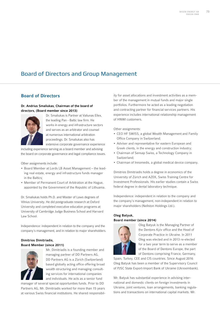# Board of Directors and Group Management

# Board of Directors

### Dr. Andrius Smaliukas, Chairman of the board of directors, (Board member since 2013)



Dr. Smaliukas is Partner at Valiunas Ellex, the leading Pan - Baltic law firm. He works in energy and infrastructure sectors and serves as an arbitrator and counsel at numerous international arbitration proceedings. Dr. Smaliukas also has extensive corporate governance experience

including experience serving as a board member and advising the board on corporate governance and legal compliance issues.

Other assignments include:

- Board Member at Lords LB Asset Management the leading real estate, energy and infrastructure funds manager in the Baltics;
- Member of Permanent Court of Arbitration at the Hague, appointed by the Government of the Republic of Lithuania.

Dr. Smaliukas holds Ph.D. and Master of Laws degrees of Vilnius University. He did postgraduate research at Oxford University and completed executive education programs at University of Cambridge Judge Business School and Harvard Law School.

Independence: independent in relation to the company and the company´s management, and in relation to major shareholders.

# Dimitrios Dimitriadis, Board Member (since 2011)



Mr. Dimitriadis is a founding member and managing partner of DD Partners AG. DD Partners AG is a Zürich (Switzerland) based globally acting office offering broad wealth structuring and managing consulting services for international companies and individuals. He acts as a senior fund

manager of several special opportunities funds. Prior to DD Partners AG, Mr. Dimitriadis worked for more than 15 years at various Swiss financial institutions. He shared responsibility for asset allocations and investment activities as a member of the management in mutual funds and major single portfolios. Furthermore he acted as a leading negotiation and contracting partner for financial services partners. His experience includes international relationship management of HNWI customers.

Other assignments:

- CEO HF SWISS, a global Wealth Management and Family Office Company in Switzerland;
- Adviser and representative for eastern European and Greek clients, in the energy and construction industry;
- Chairman of Sensap Swiss, a Technology Company in Switzerland;
- Chairman of Innomedis, a global medical device company.

Dimitrios Dimitriadis holds a degree in economics of the University of Zürich and AZEK, Swiss Training Centre for Investment Professionals. His earlier studies contain a Swiss federal degree in dental laboratory technique.

Independence: independent in relation to the company and the company´s management, non-independent in relation to major shareholders (Nellston Holdings Ltd.).

# Oleg Batyuk, Board member (since 2014)



Oleg Batyuk is the Managing Partner of the Dentons Kyiv office and the Head of Corporate Practice in Ukraine. In 2011 Oleg was elected and in 2013 re-elected for a two year term to serve as a member of the Board of Dentons Europe, the part of Dentons comprising France, Germany,

Spain, Turkey, CEE and CIS countries. Since August 2016 Oleg Batyuk has been a member of the Supervisory Council of PJSC State Export-Import Bank of Ukraine (Ukreximbank).

Mr. Batyuk has substantial experience in advising international and domestic clients on foreign investments in Ukraine, joint ventures, loan arrangements, banking regulations and transactions on international capital markets. Mr.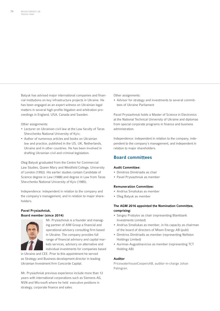Batyuk has advised major international companies and financial institutions on key infrastructure projects in Ukraine. He has been engaged as an expert witness on Ukrainian legal matters in several high-profile litigation and arbitration proceedings in England, USA, Canada and Sweden.

Other assignments:

- Lecturer on Ukrainian civil law at the Law faculty of Taras Shevchenko National University of Kyiv;
- Author of numerous articles and books on Ukrainian law and practice, published in the US, UK, Netherlands, Ukraine and in other countries. He has been involved in drafting Ukrainian civil and criminal legislation.

Oleg Batyuk graduated from the Centre for Commercial Law Studies, Queen Mary and Westfield College, University of London (1992). His earlier studies contain Candidate of Science degree in Law (1988) and degree in Law from Taras Shevchenko National University of Kyiv (1985).

Independence: independent in relation to the company and the company´s management, and in relation to major shareholders.

#### Pavel Prysiazhniuk, Board member (since 2014)



Mr. Prysiazhniuk is a founder and managing partner of AIM Group a financial and operational advisory consulting firm based in Ukraine. The company provides full range of financial advisory and capital markets services, advisory on alternative and individual investments for companies based

in Ukraine and CEE. Prior to this appointment he served as Strategy and Business development director in leading Ukrainian Investment firm Concorde Capital.

Mr. Prysiazhniuk previous experience include more than 12 years with international corporations such as Siemens AG, NSN and Microsoft where he held executive positions in strategy, corporate finance and sales.

Other assignments:

• Advisor for strategy and investments to several committees of Ukraine Parliament

Pavel Prysiazhniuk holds a Master of Science in Electronics at the National Technical University of Ukraine and diplomas from special corporate programs in finance and business administration.

Independence: independent in relation to the company, independent to the company´s management, and independent in relation to major shareholders.

# Board committees

#### Audit Committee:

- Dimitrios Dimitriadis as chair
- Pavel Prysiazhniuk as member

#### Remuneration Committee:

- Andrius Smaliukas as member
- Oleg Batyuk as member

# The AGM 2016 appointed the Nomination Committee, comprising:

- Sergey Probylov as chair (representing Blankbank Investments Limited)
- Andrius Smaliukas as member, in his capacity as chairman of the board of directors of Misen Energy AB (publ)
- Dimitrios Dimitriadis as member (representing Nellston Holdings Limited)
- Aurimas Augustinavicius as member (representing TCT Holding AB)

#### Auditor

PricewaterhouseCoopersAB, auditor-in-charge Johan Palmgren.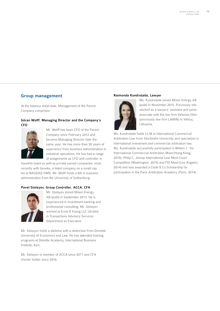# Group management

At the balance sheet date, Management of the Parent Company comprises:

## Göran Wolff, Managing Director and the Company's CFO



Mr. Wolff has been CFO of the Parent Company since February 2012 and became Managing Director later the same year. He has more than 30 years of experience from business administration in industrial operations. He has had a range of assignments as CFO and controller in

Swedish listed as well as private owned companies, most recently with Geveko, a listed company on a small cap list at NASDAQ OMX. Mr. Wolff holds a BA in business administration from the University of Gothenburg.

### Pavel Stolayev, Group Controller, ACCA, CFA



Mr. Stolayev joined Misen Energy AB (publ) in September 2013. He is experienced in investment banking and professional consulting. Mr. Stolayev worked at Ernst & Young LLC Ukraine in Transactions Advisory Services Department as Executive.

Mr. Stolayev holds a diploma with a distinction from Donetsk University of Economics and Law. He has attended training programs at Deloitte Academy, International Business Institute, Kyiv.

Mr. Stolayev is member of ACCA since 2011 and CFA charter holder since 2016.

## Raimonda Kundrotaite, Lawyer



Ms. Kundrotaite joined Misen Energy AB (publ) in November 2015. Previously she worked as a lawyers' assistant and junior associate with the law firm Valiunas Ellex (previously law firm LAWIN) in Vilnius, Lithuania.

Ms. Kundrotaite holds LL.M in International Commercial Arbitration Law from Stockholm University and specializes in international investment and commercial arbitration law. Ms. Kundrotaite successfully participated in Willem C. Vis International Commercial Arbitration Moot (Hong Kong, 2016), Philip C. Jessup International Law Moot Court Competition (Washington, 2015) and FDI Moot (Los Angeles, 2014) and was awarded a Clyde & Co Scholarship for participation in the Paris Arbitration Academy (Paris, 2014).